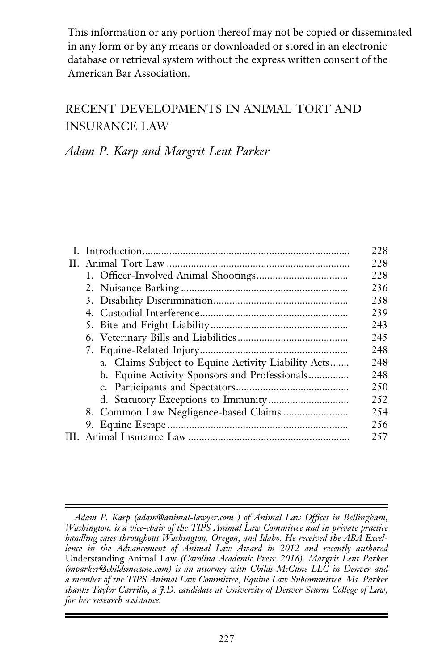This information or any portion thereof may not be copied or disseminated in any form or by any means or downloaded or stored in an electronic database or retrieval system without the express written consent of the American Bar Association.

# RECENT DEVELOPMENTS IN ANIMAL TORT AND INSURANCE LAW

Adam P. Karp and Margrit Lent Parker

|                                                     | 228 |
|-----------------------------------------------------|-----|
|                                                     | 228 |
|                                                     | 228 |
|                                                     | 236 |
|                                                     | 238 |
|                                                     | 239 |
|                                                     | 243 |
|                                                     | 245 |
|                                                     | 248 |
| a. Claims Subject to Equine Activity Liability Acts | 248 |
| b. Equine Activity Sponsors and Professionals       | 248 |
|                                                     | 250 |
|                                                     | 252 |
|                                                     | 254 |
|                                                     | 256 |
|                                                     | 257 |
|                                                     |     |

Adam P. Karp (adam@animal-lawyer.com ) of Animal Law Offices in Bellingham, Washington, is a vice-chair of the TIPS Animal Law Committee and in private practice handling cases throughout Washington, Oregon, and Idaho. He received the ABA Excellence in the Advancement of Animal Law Award in 2012 and recently authored Understanding Animal Law (Carolina Academic Press: 2016). Margrit Lent Parker (mparker@childsmccune.com) is an attorney with Childs McCune LLC in Denver and a member of the TIPS Animal Law Committee, Equine Law Subcommittee. Ms. Parker thanks Taylor Carrillo, a J.D. candidate at University of Denver Sturm College of Law, for her research assistance.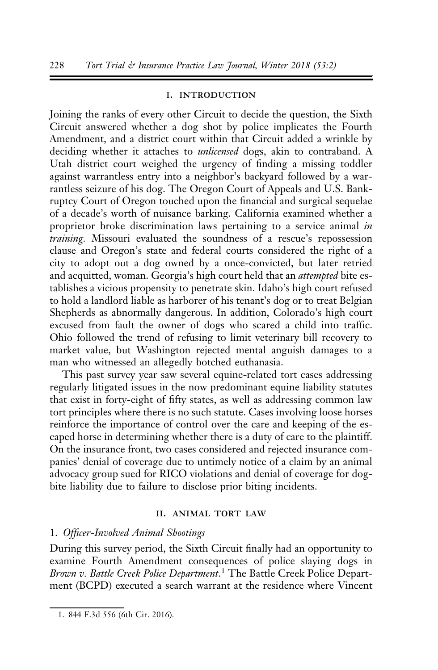#### i. introduction

Joining the ranks of every other Circuit to decide the question, the Sixth Circuit answered whether a dog shot by police implicates the Fourth Amendment, and a district court within that Circuit added a wrinkle by deciding whether it attaches to *unlicensed* dogs, akin to contraband. A Utah district court weighed the urgency of finding a missing toddler against warrantless entry into a neighbor's backyard followed by a warrantless seizure of his dog. The Oregon Court of Appeals and U.S. Bankruptcy Court of Oregon touched upon the financial and surgical sequelae of a decade's worth of nuisance barking. California examined whether a proprietor broke discrimination laws pertaining to a service animal in training. Missouri evaluated the soundness of a rescue's repossession clause and Oregon's state and federal courts considered the right of a city to adopt out a dog owned by a once-convicted, but later retried and acquitted, woman. Georgia's high court held that an *attempted* bite establishes a vicious propensity to penetrate skin. Idaho's high court refused to hold a landlord liable as harborer of his tenant's dog or to treat Belgian Shepherds as abnormally dangerous. In addition, Colorado's high court excused from fault the owner of dogs who scared a child into traffic. Ohio followed the trend of refusing to limit veterinary bill recovery to market value, but Washington rejected mental anguish damages to a man who witnessed an allegedly botched euthanasia.

This past survey year saw several equine-related tort cases addressing regularly litigated issues in the now predominant equine liability statutes that exist in forty-eight of fifty states, as well as addressing common law tort principles where there is no such statute. Cases involving loose horses reinforce the importance of control over the care and keeping of the escaped horse in determining whether there is a duty of care to the plaintiff. On the insurance front, two cases considered and rejected insurance companies' denial of coverage due to untimely notice of a claim by an animal advocacy group sued for RICO violations and denial of coverage for dogbite liability due to failure to disclose prior biting incidents.

#### II. ANIMAL TORT LAW

### 1. Officer-Involved Animal Shootings

During this survey period, the Sixth Circuit finally had an opportunity to examine Fourth Amendment consequences of police slaying dogs in Brown v. Battle Creek Police Department.<sup>1</sup> The Battle Creek Police Department (BCPD) executed a search warrant at the residence where Vincent

<sup>1. 844</sup> F.3d 556 (6th Cir. 2016).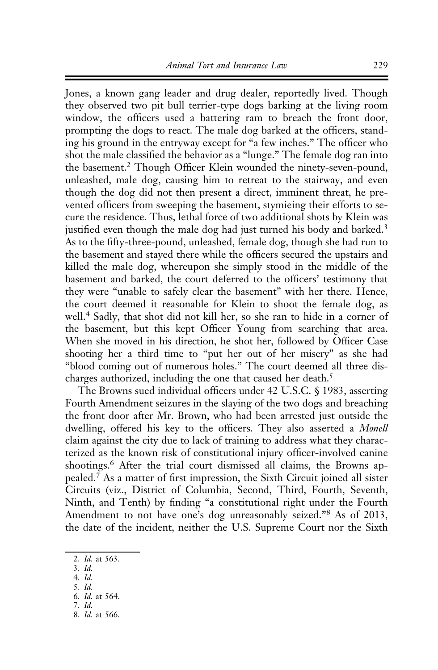Jones, a known gang leader and drug dealer, reportedly lived. Though they observed two pit bull terrier-type dogs barking at the living room window, the officers used a battering ram to breach the front door, prompting the dogs to react. The male dog barked at the officers, standing his ground in the entryway except for "a few inches." The officer who shot the male classified the behavior as a "lunge." The female dog ran into the basement.2 Though Officer Klein wounded the ninety-seven-pound, unleashed, male dog, causing him to retreat to the stairway, and even though the dog did not then present a direct, imminent threat, he prevented officers from sweeping the basement, stymieing their efforts to secure the residence. Thus, lethal force of two additional shots by Klein was justified even though the male dog had just turned his body and barked.<sup>3</sup> As to the fifty-three-pound, unleashed, female dog, though she had run to the basement and stayed there while the officers secured the upstairs and killed the male dog, whereupon she simply stood in the middle of the basement and barked, the court deferred to the officers' testimony that they were "unable to safely clear the basement" with her there. Hence, the court deemed it reasonable for Klein to shoot the female dog, as well.<sup>4</sup> Sadly, that shot did not kill her, so she ran to hide in a corner of the basement, but this kept Officer Young from searching that area. When she moved in his direction, he shot her, followed by Officer Case shooting her a third time to "put her out of her misery" as she had "blood coming out of numerous holes." The court deemed all three discharges authorized, including the one that caused her death.<sup>5</sup>

The Browns sued individual officers under 42 U.S.C. § 1983, asserting Fourth Amendment seizures in the slaying of the two dogs and breaching the front door after Mr. Brown, who had been arrested just outside the dwelling, offered his key to the officers. They also asserted a Monell claim against the city due to lack of training to address what they characterized as the known risk of constitutional injury officer-involved canine shootings.<sup>6</sup> After the trial court dismissed all claims, the Browns appealed.<sup>7</sup> As a matter of first impression, the Sixth Circuit joined all sister Circuits (viz., District of Columbia, Second, Third, Fourth, Seventh, Ninth, and Tenth) by finding "a constitutional right under the Fourth Amendment to not have one's dog unreasonably seized."<sup>8</sup> As of 2013, the date of the incident, neither the U.S. Supreme Court nor the Sixth

<sup>2.</sup> Id. at 563.

<sup>3.</sup> Id.

<sup>4.</sup> Id. 5. Id.

<sup>6.</sup> Id. at 564.

<sup>7.</sup> Id.

<sup>8.</sup> Id. at 566.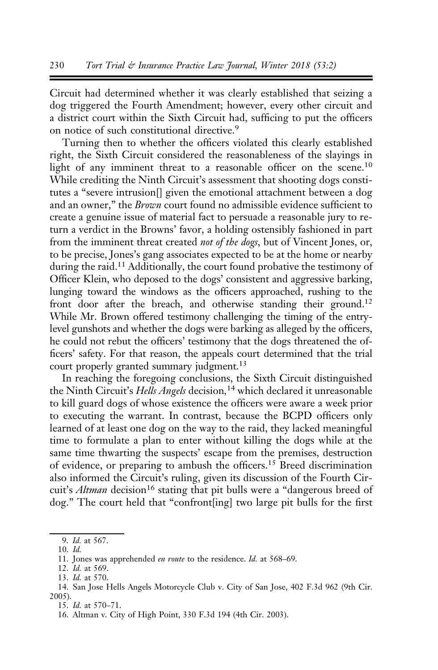Circuit had determined whether it was clearly established that seizing a dog triggered the Fourth Amendment; however, every other circuit and a district court within the Sixth Circuit had, sufficing to put the officers on notice of such constitutional directive.<sup>9</sup>

Turning then to whether the officers violated this clearly established right, the Sixth Circuit considered the reasonableness of the slayings in light of any imminent threat to a reasonable officer on the scene.<sup>10</sup> While crediting the Ninth Circuit's assessment that shooting dogs constitutes a "severe intrusion[] given the emotional attachment between a dog and an owner," the Brown court found no admissible evidence sufficient to create a genuine issue of material fact to persuade a reasonable jury to return a verdict in the Browns' favor, a holding ostensibly fashioned in part from the imminent threat created not of the dogs, but of Vincent Jones, or, to be precise, Jones's gang associates expected to be at the home or nearby during the raid.<sup>11</sup> Additionally, the court found probative the testimony of Officer Klein, who deposed to the dogs' consistent and aggressive barking, lunging toward the windows as the officers approached, rushing to the front door after the breach, and otherwise standing their ground.<sup>12</sup> While Mr. Brown offered testimony challenging the timing of the entrylevel gunshots and whether the dogs were barking as alleged by the officers, he could not rebut the officers' testimony that the dogs threatened the officers' safety. For that reason, the appeals court determined that the trial court properly granted summary judgment.<sup>13</sup>

In reaching the foregoing conclusions, the Sixth Circuit distinguished the Ninth Circuit's Hells Angels decision,<sup>14</sup> which declared it unreasonable to kill guard dogs of whose existence the officers were aware a week prior to executing the warrant. In contrast, because the BCPD officers only learned of at least one dog on the way to the raid, they lacked meaningful time to formulate a plan to enter without killing the dogs while at the same time thwarting the suspects' escape from the premises, destruction of evidence, or preparing to ambush the officers.<sup>15</sup> Breed discrimination also informed the Circuit's ruling, given its discussion of the Fourth Circuit's Altman decision<sup>16</sup> stating that pit bulls were a "dangerous breed of dog." The court held that "confront[ing] two large pit bulls for the first

10. Id.

 $9.$  *Id.* at 567.

<sup>11.</sup> Jones was apprehended en route to the residence. Id. at 568–69.

<sup>12.</sup> Id. at 569.

<sup>13.</sup> Id. at 570.

<sup>14.</sup> San Jose Hells Angels Motorcycle Club v. City of San Jose, 402 F.3d 962 (9th Cir. 2005).

<sup>15.</sup> Id. at 570–71.

<sup>16.</sup> Altman v. City of High Point, 330 F.3d 194 (4th Cir. 2003).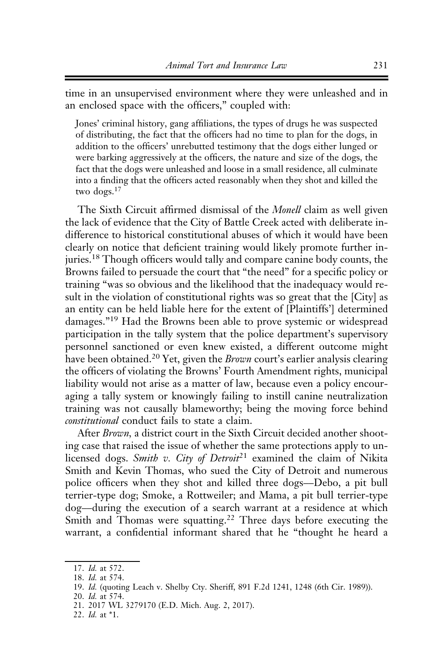time in an unsupervised environment where they were unleashed and in an enclosed space with the officers," coupled with:

Jones' criminal history, gang affiliations, the types of drugs he was suspected of distributing, the fact that the officers had no time to plan for the dogs, in addition to the officers' unrebutted testimony that the dogs either lunged or were barking aggressively at the officers, the nature and size of the dogs, the fact that the dogs were unleashed and loose in a small residence, all culminate into a finding that the officers acted reasonably when they shot and killed the two dogs.17

The Sixth Circuit affirmed dismissal of the *Monell* claim as well given the lack of evidence that the City of Battle Creek acted with deliberate indifference to historical constitutional abuses of which it would have been clearly on notice that deficient training would likely promote further injuries.<sup>18</sup> Though officers would tally and compare canine body counts, the Browns failed to persuade the court that "the need" for a specific policy or training "was so obvious and the likelihood that the inadequacy would result in the violation of constitutional rights was so great that the [City] as an entity can be held liable here for the extent of [Plaintiffs'] determined damages."<sup>19</sup> Had the Browns been able to prove systemic or widespread participation in the tally system that the police department's supervisory personnel sanctioned or even knew existed, a different outcome might have been obtained.<sup>20</sup> Yet, given the *Brown* court's earlier analysis clearing the officers of violating the Browns' Fourth Amendment rights, municipal liability would not arise as a matter of law, because even a policy encouraging a tally system or knowingly failing to instill canine neutralization training was not causally blameworthy; being the moving force behind constitutional conduct fails to state a claim.

After Brown, a district court in the Sixth Circuit decided another shooting case that raised the issue of whether the same protections apply to unlicensed dogs. Smith v. City of Detroit<sup>21</sup> examined the claim of Nikita Smith and Kevin Thomas, who sued the City of Detroit and numerous police officers when they shot and killed three dogs––Debo, a pit bull terrier-type dog; Smoke, a Rottweiler; and Mama, a pit bull terrier-type dog––during the execution of a search warrant at a residence at which Smith and Thomas were squatting.<sup>22</sup> Three days before executing the warrant, a confidential informant shared that he "thought he heard a

<sup>17.</sup> Id. at 572.

<sup>18.</sup> Id. at 574.

<sup>19.</sup> Id. (quoting Leach v. Shelby Cty. Sheriff, 891 F.2d 1241, 1248 (6th Cir. 1989)).

<sup>20.</sup> Id. at 574.

<sup>21. 2017</sup> WL 3279170 (E.D. Mich. Aug. 2, 2017).

<sup>22.</sup> Id. at \*1.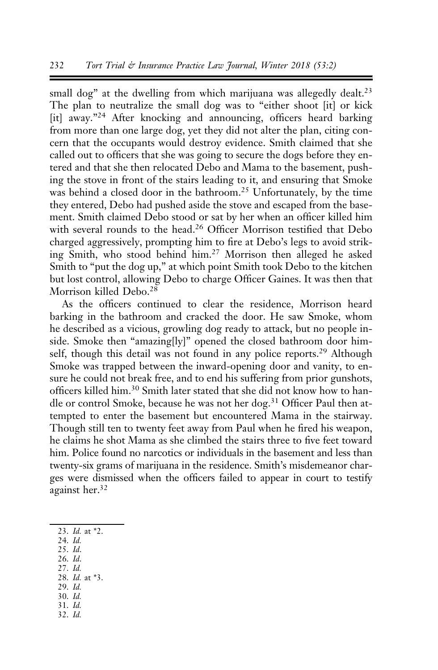small dog" at the dwelling from which marijuana was allegedly dealt.<sup>23</sup> The plan to neutralize the small dog was to "either shoot [it] or kick [it] away."<sup>24</sup> After knocking and announcing, officers heard barking from more than one large dog, yet they did not alter the plan, citing concern that the occupants would destroy evidence. Smith claimed that she called out to officers that she was going to secure the dogs before they entered and that she then relocated Debo and Mama to the basement, pushing the stove in front of the stairs leading to it, and ensuring that Smoke was behind a closed door in the bathroom.<sup>25</sup> Unfortunately, by the time they entered, Debo had pushed aside the stove and escaped from the basement. Smith claimed Debo stood or sat by her when an officer killed him with several rounds to the head.<sup>26</sup> Officer Morrison testified that Debo charged aggressively, prompting him to fire at Debo's legs to avoid striking Smith, who stood behind him.<sup>27</sup> Morrison then alleged he asked Smith to "put the dog up," at which point Smith took Debo to the kitchen but lost control, allowing Debo to charge Officer Gaines. It was then that Morrison killed Debo.<sup>28</sup>

As the officers continued to clear the residence, Morrison heard barking in the bathroom and cracked the door. He saw Smoke, whom he described as a vicious, growling dog ready to attack, but no people inside. Smoke then "amazing[ly]" opened the closed bathroom door himself, though this detail was not found in any police reports.<sup>29</sup> Although Smoke was trapped between the inward-opening door and vanity, to ensure he could not break free, and to end his suffering from prior gunshots, officers killed him.<sup>30</sup> Smith later stated that she did not know how to handle or control Smoke, because he was not her dog.<sup>31</sup> Officer Paul then attempted to enter the basement but encountered Mama in the stairway. Though still ten to twenty feet away from Paul when he fired his weapon, he claims he shot Mama as she climbed the stairs three to five feet toward him. Police found no narcotics or individuals in the basement and less than twenty-six grams of marijuana in the residence. Smith's misdemeanor charges were dismissed when the officers failed to appear in court to testify against her.32

- 23. Id. at \*2.
- 24. Id.
- 25. Id.
- 26. Id. 27. Id.
- 28. Id. at \*3.
- 29. Id.
- 30. Id.
- 31. Id.
- 32. Id.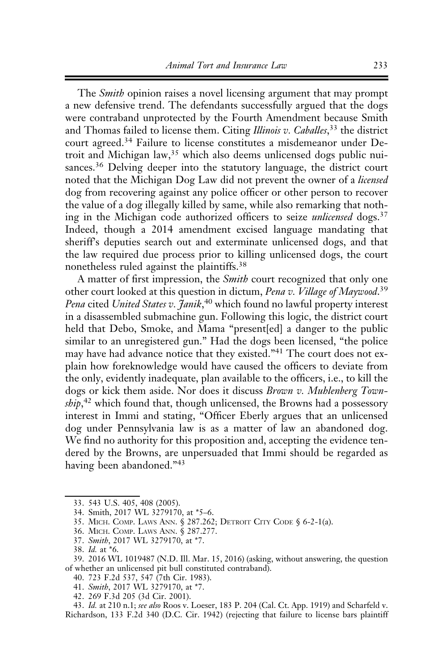The *Smith* opinion raises a novel licensing argument that may prompt a new defensive trend. The defendants successfully argued that the dogs were contraband unprotected by the Fourth Amendment because Smith and Thomas failed to license them. Citing Illinois v. Caballes,<sup>33</sup> the district court agreed.<sup>34</sup> Failure to license constitutes a misdemeanor under Detroit and Michigan law,<sup>35</sup> which also deems unlicensed dogs public nuisances.<sup>36</sup> Delving deeper into the statutory language, the district court noted that the Michigan Dog Law did not prevent the owner of a licensed dog from recovering against any police officer or other person to recover the value of a dog illegally killed by same, while also remarking that nothing in the Michigan code authorized officers to seize *unlicensed* dogs.<sup>37</sup> Indeed, though a 2014 amendment excised language mandating that sheriff's deputies search out and exterminate unlicensed dogs, and that the law required due process prior to killing unlicensed dogs, the court nonetheless ruled against the plaintiffs.<sup>38</sup>

A matter of first impression, the *Smith* court recognized that only one other court looked at this question in dictum, Pena v. Village of Maywood.<sup>39</sup> Pena cited United States v. Janik,<sup>40</sup> which found no lawful property interest in a disassembled submachine gun. Following this logic, the district court held that Debo, Smoke, and Mama "present[ed] a danger to the public similar to an unregistered gun." Had the dogs been licensed, "the police may have had advance notice that they existed."<sup>41</sup> The court does not explain how foreknowledge would have caused the officers to deviate from the only, evidently inadequate, plan available to the officers, i.e., to kill the dogs or kick them aside. Nor does it discuss Brown v. Muhlenberg Township,<sup>42</sup> which found that, though unlicensed, the Browns had a possessory interest in Immi and stating, "Officer Eberly argues that an unlicensed dog under Pennsylvania law is as a matter of law an abandoned dog. We find no authority for this proposition and, accepting the evidence tendered by the Browns, are unpersuaded that Immi should be regarded as having been abandoned."<sup>43</sup>

37. Smith, 2017 WL 3279170, at \*7.

- 40. 723 F.2d 537, 547 (7th Cir. 1983).
- 41. Smith, 2017 WL 3279170, at \*7.
- 42. 269 F.3d 205 (3d Cir. 2001).

43. Id. at 210 n.1; see also Roos v. Loeser, 183 P. 204 (Cal. Ct. App. 1919) and Scharfeld v. Richardson, 133 F.2d 340 (D.C. Cir. 1942) (rejecting that failure to license bars plaintiff

<sup>33. 543</sup> U.S. 405, 408 (2005).

<sup>34.</sup> Smith, 2017 WL 3279170, at \*5–6.

<sup>35.</sup> MICH. COMP. LAWS ANN. § 287.262; DETROIT CITY CODE § 6-2-1(a).

<sup>36.</sup> MICH. COMP. LAWS ANN. § 287.277.

<sup>38.</sup> Id. at \*6.

<sup>39. 2016</sup> WL 1019487 (N.D. Ill. Mar. 15, 2016) (asking, without answering, the question of whether an unlicensed pit bull constituted contraband).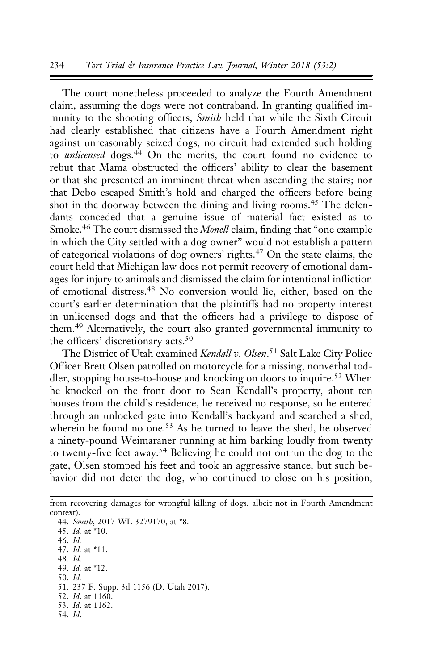The court nonetheless proceeded to analyze the Fourth Amendment claim, assuming the dogs were not contraband. In granting qualified immunity to the shooting officers, *Smith* held that while the Sixth Circuit had clearly established that citizens have a Fourth Amendment right against unreasonably seized dogs, no circuit had extended such holding to *unlicensed* dogs.<sup>44</sup> On the merits, the court found no evidence to rebut that Mama obstructed the officers' ability to clear the basement or that she presented an imminent threat when ascending the stairs; nor that Debo escaped Smith's hold and charged the officers before being shot in the doorway between the dining and living rooms.<sup>45</sup> The defendants conceded that a genuine issue of material fact existed as to Smoke.<sup>46</sup> The court dismissed the *Monell* claim, finding that "one example" in which the City settled with a dog owner" would not establish a pattern of categorical violations of dog owners' rights.<sup>47</sup> On the state claims, the court held that Michigan law does not permit recovery of emotional damages for injury to animals and dismissed the claim for intentional infliction of emotional distress.48 No conversion would lie, either, based on the court's earlier determination that the plaintiffs had no property interest in unlicensed dogs and that the officers had a privilege to dispose of them.<sup>49</sup> Alternatively, the court also granted governmental immunity to the officers' discretionary acts.<sup>50</sup>

The District of Utah examined Kendall v. Olsen.<sup>51</sup> Salt Lake City Police Officer Brett Olsen patrolled on motorcycle for a missing, nonverbal toddler, stopping house-to-house and knocking on doors to inquire.<sup>52</sup> When he knocked on the front door to Sean Kendall's property, about ten houses from the child's residence, he received no response, so he entered through an unlocked gate into Kendall's backyard and searched a shed, wherein he found no one.<sup>53</sup> As he turned to leave the shed, he observed a ninety-pound Weimaraner running at him barking loudly from twenty to twenty-five feet away.<sup>54</sup> Believing he could not outrun the dog to the gate, Olsen stomped his feet and took an aggressive stance, but such behavior did not deter the dog, who continued to close on his position,

from recovering damages for wrongful killing of dogs, albeit not in Fourth Amendment context).

44. Smith, 2017 WL 3279170, at \*8. 45. Id. at \*10.

46. Id.

47. Id. at \*11.

48. Id.

49. Id. at \*12.

50. Id.

51. 237 F. Supp. 3d 1156 (D. Utah 2017).

52. *Id.* at 1160.

53. Id. at 1162. 54. Id.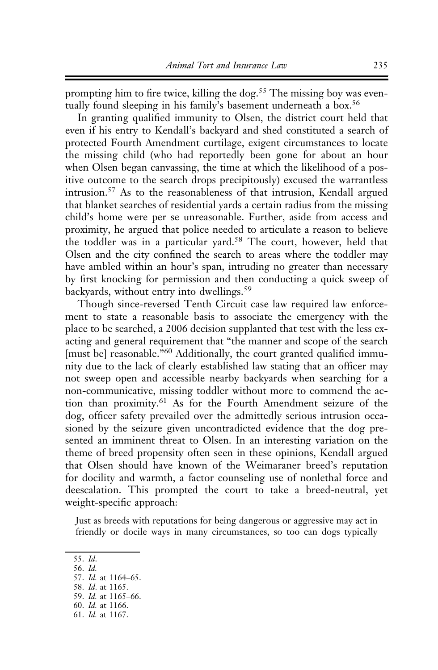prompting him to fire twice, killing the dog.<sup>55</sup> The missing boy was eventually found sleeping in his family's basement underneath a box.<sup>56</sup>

In granting qualified immunity to Olsen, the district court held that even if his entry to Kendall's backyard and shed constituted a search of protected Fourth Amendment curtilage, exigent circumstances to locate the missing child (who had reportedly been gone for about an hour when Olsen began canvassing, the time at which the likelihood of a positive outcome to the search drops precipitously) excused the warrantless intrusion.<sup>57</sup> As to the reasonableness of that intrusion, Kendall argued that blanket searches of residential yards a certain radius from the missing child's home were per se unreasonable. Further, aside from access and proximity, he argued that police needed to articulate a reason to believe the toddler was in a particular yard.<sup>58</sup> The court, however, held that Olsen and the city confined the search to areas where the toddler may have ambled within an hour's span, intruding no greater than necessary by first knocking for permission and then conducting a quick sweep of backyards, without entry into dwellings.<sup>59</sup>

Though since-reversed Tenth Circuit case law required law enforcement to state a reasonable basis to associate the emergency with the place to be searched, a 2006 decision supplanted that test with the less exacting and general requirement that "the manner and scope of the search [must be] reasonable."<sup>60</sup> Additionally, the court granted qualified immunity due to the lack of clearly established law stating that an officer may not sweep open and accessible nearby backyards when searching for a non-communicative, missing toddler without more to commend the action than proximity.<sup>61</sup> As for the Fourth Amendment seizure of the dog, officer safety prevailed over the admittedly serious intrusion occasioned by the seizure given uncontradicted evidence that the dog presented an imminent threat to Olsen. In an interesting variation on the theme of breed propensity often seen in these opinions, Kendall argued that Olsen should have known of the Weimaraner breed's reputation for docility and warmth, a factor counseling use of nonlethal force and deescalation. This prompted the court to take a breed-neutral, yet weight-specific approach:

Just as breeds with reputations for being dangerous or aggressive may act in friendly or docile ways in many circumstances, so too can dogs typically

<sup>55.</sup> Id.

<sup>56.</sup> Id.

<sup>57.</sup> Id. at 1164–65.

<sup>58.</sup> Id. at 1165. 59. Id. at 1165–66.

<sup>60.</sup> Id. at 1166.

<sup>61.</sup> Id. at 1167.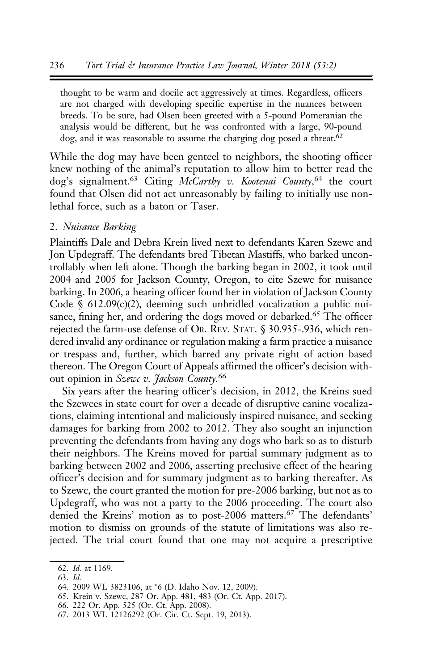thought to be warm and docile act aggressively at times. Regardless, officers are not charged with developing specific expertise in the nuances between breeds. To be sure, had Olsen been greeted with a 5-pound Pomeranian the analysis would be different, but he was confronted with a large, 90-pound dog, and it was reasonable to assume the charging dog posed a threat.<sup>62</sup>

While the dog may have been genteel to neighbors, the shooting officer knew nothing of the animal's reputation to allow him to better read the dog's signalment.<sup>63</sup> Citing McCarthy v. Kootenai County,<sup>64</sup> the court found that Olsen did not act unreasonably by failing to initially use nonlethal force, such as a baton or Taser.

# 2. Nuisance Barking

Plaintiffs Dale and Debra Krein lived next to defendants Karen Szewc and Jon Updegraff. The defendants bred Tibetan Mastiffs, who barked uncontrollably when left alone. Though the barking began in 2002, it took until 2004 and 2005 for Jackson County, Oregon, to cite Szewc for nuisance barking. In 2006, a hearing officer found her in violation of Jackson County Code  $\S$  612.09(c)(2), deeming such unbridled vocalization a public nuisance, fining her, and ordering the dogs moved or debarked.<sup>65</sup> The officer rejected the farm-use defense of OR. REV. STAT. § 30.935-.936, which rendered invalid any ordinance or regulation making a farm practice a nuisance or trespass and, further, which barred any private right of action based thereon. The Oregon Court of Appeals affirmed the officer's decision without opinion in Szewc v. Jackson County.<sup>66</sup>

Six years after the hearing officer's decision, in 2012, the Kreins sued the Szewces in state court for over a decade of disruptive canine vocalizations, claiming intentional and maliciously inspired nuisance, and seeking damages for barking from 2002 to 2012. They also sought an injunction preventing the defendants from having any dogs who bark so as to disturb their neighbors. The Kreins moved for partial summary judgment as to barking between 2002 and 2006, asserting preclusive effect of the hearing officer's decision and for summary judgment as to barking thereafter. As to Szewc, the court granted the motion for pre-2006 barking, but not as to Updegraff, who was not a party to the 2006 proceeding. The court also denied the Kreins' motion as to post-2006 matters.<sup>67</sup> The defendants' motion to dismiss on grounds of the statute of limitations was also rejected. The trial court found that one may not acquire a prescriptive

63. Id.

- 65. Krein v. Szewc, 287 Or. App. 481, 483 (Or. Ct. App. 2017).
- 66. 222 Or. App. 525 (Or. Ct. App. 2008).

<sup>62.</sup> Id. at 1169.

<sup>64. 2009</sup> WL 3823106, at \*6 (D. Idaho Nov. 12, 2009).

<sup>67. 2013</sup> WL 12126292 (Or. Cir. Ct. Sept. 19, 2013).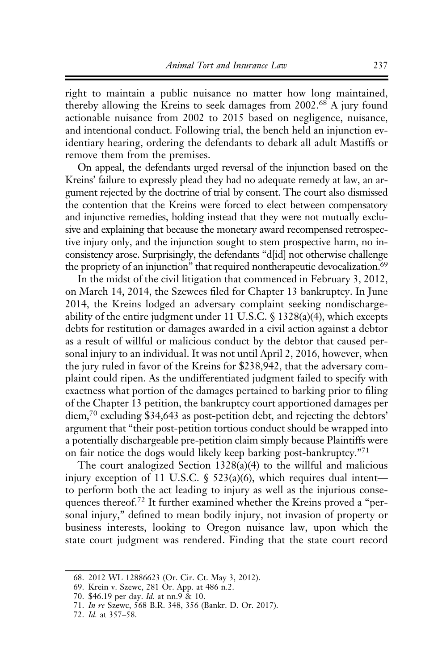right to maintain a public nuisance no matter how long maintained, thereby allowing the Kreins to seek damages from 2002.<sup>68</sup> A jury found actionable nuisance from 2002 to 2015 based on negligence, nuisance, and intentional conduct. Following trial, the bench held an injunction evidentiary hearing, ordering the defendants to debark all adult Mastiffs or remove them from the premises.

On appeal, the defendants urged reversal of the injunction based on the Kreins' failure to expressly plead they had no adequate remedy at law, an argument rejected by the doctrine of trial by consent. The court also dismissed the contention that the Kreins were forced to elect between compensatory and injunctive remedies, holding instead that they were not mutually exclusive and explaining that because the monetary award recompensed retrospective injury only, and the injunction sought to stem prospective harm, no inconsistency arose. Surprisingly, the defendants "d[id] not otherwise challenge the propriety of an injunction" that required nontherapeutic devocalization.<sup>69</sup>

In the midst of the civil litigation that commenced in February 3, 2012, on March 14, 2014, the Szewces filed for Chapter 13 bankruptcy. In June 2014, the Kreins lodged an adversary complaint seeking nondischargeability of the entire judgment under 11 U.S.C.  $\frac{1328(a)(4)}{26}$ , which excepts debts for restitution or damages awarded in a civil action against a debtor as a result of willful or malicious conduct by the debtor that caused personal injury to an individual. It was not until April 2, 2016, however, when the jury ruled in favor of the Kreins for \$238,942, that the adversary complaint could ripen. As the undifferentiated judgment failed to specify with exactness what portion of the damages pertained to barking prior to filing of the Chapter 13 petition, the bankruptcy court apportioned damages per diem,70 excluding \$34,643 as post-petition debt, and rejecting the debtors' argument that "their post-petition tortious conduct should be wrapped into a potentially dischargeable pre-petition claim simply because Plaintiffs were on fair notice the dogs would likely keep barking post-bankruptcy."71

The court analogized Section 1328(a)(4) to the willful and malicious injury exception of 11 U.S.C. § 523(a)(6), which requires dual intent to perform both the act leading to injury as well as the injurious consequences thereof.<sup>72</sup> It further examined whether the Kreins proved a "personal injury," defined to mean bodily injury, not invasion of property or business interests, looking to Oregon nuisance law, upon which the state court judgment was rendered. Finding that the state court record

<sup>68. 2012</sup> WL 12886623 (Or. Cir. Ct. May 3, 2012).

<sup>69.</sup> Krein v. Szewc, 281 Or. App. at 486 n.2.

<sup>70. \$46.19</sup> per day. Id. at nn.9 & 10.

<sup>71.</sup> In re Szewc, 568 B.R. 348, 356 (Bankr. D. Or. 2017).

<sup>72.</sup> Id. at 357–58.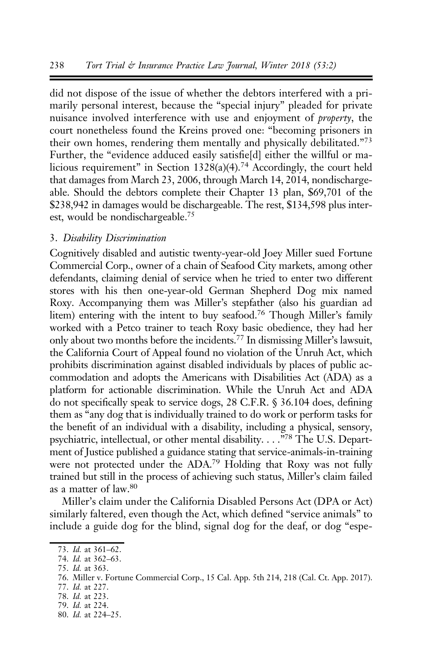did not dispose of the issue of whether the debtors interfered with a primarily personal interest, because the "special injury" pleaded for private nuisance involved interference with use and enjoyment of property, the court nonetheless found the Kreins proved one: "becoming prisoners in their own homes, rendering them mentally and physically debilitated."<sup>73</sup> Further, the "evidence adduced easily satisfie[d] either the willful or malicious requirement" in Section 1328(a)(4).<sup>74</sup> Accordingly, the court held that damages from March 23, 2006, through March 14, 2014, nondischargeable. Should the debtors complete their Chapter 13 plan, \$69,701 of the \$238,942 in damages would be dischargeable. The rest, \$134,598 plus interest, would be nondischargeable.75

#### 3. Disability Discrimination

Cognitively disabled and autistic twenty-year-old Joey Miller sued Fortune Commercial Corp., owner of a chain of Seafood City markets, among other defendants, claiming denial of service when he tried to enter two different stores with his then one-year-old German Shepherd Dog mix named Roxy. Accompanying them was Miller's stepfather (also his guardian ad litem) entering with the intent to buy seafood.<sup>76</sup> Though Miller's family worked with a Petco trainer to teach Roxy basic obedience, they had her only about two months before the incidents.77 In dismissing Miller's lawsuit, the California Court of Appeal found no violation of the Unruh Act, which prohibits discrimination against disabled individuals by places of public accommodation and adopts the Americans with Disabilities Act (ADA) as a platform for actionable discrimination. While the Unruh Act and ADA do not specifically speak to service dogs, 28 C.F.R. § 36.104 does, defining them as "any dog that is individually trained to do work or perform tasks for the benefit of an individual with a disability, including a physical, sensory, psychiatric, intellectual, or other mental disability. . . . <sup>578</sup> The U.S. Department of Justice published a guidance stating that service-animals-in-training were not protected under the ADA.<sup>79</sup> Holding that Roxy was not fully trained but still in the process of achieving such status, Miller's claim failed as a matter of law.80

Miller's claim under the California Disabled Persons Act (DPA or Act) similarly faltered, even though the Act, which defined "service animals" to include a guide dog for the blind, signal dog for the deaf, or dog "espe-

- 78. Id. at 223.
- 79. Id. at 224.
- 80. Id. at 224–25.

<sup>73.</sup> Id. at 361–62.

<sup>74.</sup> Id. at 362–63.

<sup>75.</sup> Id. at 363.

<sup>76.</sup> Miller v. Fortune Commercial Corp., 15 Cal. App. 5th 214, 218 (Cal. Ct. App. 2017).

<sup>77.</sup> Id. at 227.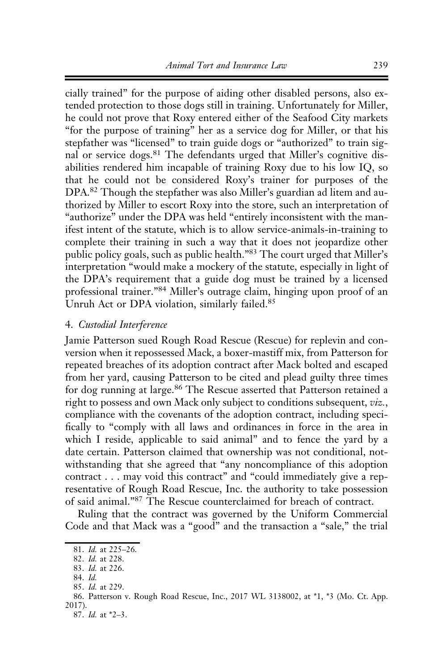cially trained" for the purpose of aiding other disabled persons, also extended protection to those dogs still in training. Unfortunately for Miller, he could not prove that Roxy entered either of the Seafood City markets "for the purpose of training" her as a service dog for Miller, or that his stepfather was "licensed" to train guide dogs or "authorized" to train signal or service dogs.<sup>81</sup> The defendants urged that Miller's cognitive disabilities rendered him incapable of training Roxy due to his low IQ, so that he could not be considered Roxy's trainer for purposes of the DPA.<sup>82</sup> Though the stepfather was also Miller's guardian ad litem and authorized by Miller to escort Roxy into the store, such an interpretation of "authorize" under the DPA was held "entirely inconsistent with the manifest intent of the statute, which is to allow service-animals-in-training to complete their training in such a way that it does not jeopardize other public policy goals, such as public health."<sup>83</sup> The court urged that Miller's interpretation "would make a mockery of the statute, especially in light of the DPA's requirement that a guide dog must be trained by a licensed professional trainer."<sup>84</sup> Miller's outrage claim, hinging upon proof of an Unruh Act or DPA violation, similarly failed.<sup>85</sup>

### 4. Custodial Interference

Jamie Patterson sued Rough Road Rescue (Rescue) for replevin and conversion when it repossessed Mack, a boxer-mastiff mix, from Patterson for repeated breaches of its adoption contract after Mack bolted and escaped from her yard, causing Patterson to be cited and plead guilty three times for dog running at large.<sup>86</sup> The Rescue asserted that Patterson retained a right to possess and own Mack only subject to conditions subsequent, viz., compliance with the covenants of the adoption contract, including specifically to "comply with all laws and ordinances in force in the area in which I reside, applicable to said animal" and to fence the yard by a date certain. Patterson claimed that ownership was not conditional, notwithstanding that she agreed that "any noncompliance of this adoption contract . . . may void this contract" and "could immediately give a representative of Rough Road Rescue, Inc. the authority to take possession of said animal."87 The Rescue counterclaimed for breach of contract.

Ruling that the contract was governed by the Uniform Commercial Code and that Mack was a "good" and the transaction a "sale," the trial

<sup>81.</sup> Id. at 225–26.

<sup>82.</sup> Id. at 228.

<sup>83.</sup> Id. at 226.

<sup>84.</sup> Id.

<sup>85.</sup> Id. at 229.

<sup>86.</sup> Patterson v. Rough Road Rescue, Inc., 2017 WL 3138002, at \*1, \*3 (Mo. Ct. App. 2017).

<sup>87.</sup> Id. at \*2–3.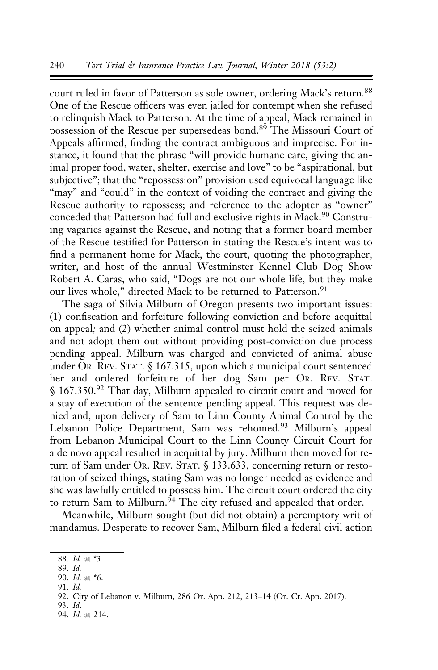court ruled in favor of Patterson as sole owner, ordering Mack's return.<sup>88</sup> One of the Rescue officers was even jailed for contempt when she refused to relinquish Mack to Patterson. At the time of appeal, Mack remained in possession of the Rescue per supersedeas bond.<sup>89</sup> The Missouri Court of Appeals affirmed, finding the contract ambiguous and imprecise. For instance, it found that the phrase "will provide humane care, giving the animal proper food, water, shelter, exercise and love" to be "aspirational, but subjective"; that the "repossession" provision used equivocal language like "may" and "could" in the context of voiding the contract and giving the Rescue authority to repossess; and reference to the adopter as "owner" conceded that Patterson had full and exclusive rights in Mack.<sup>90</sup> Construing vagaries against the Rescue, and noting that a former board member of the Rescue testified for Patterson in stating the Rescue's intent was to find a permanent home for Mack, the court, quoting the photographer, writer, and host of the annual Westminster Kennel Club Dog Show Robert A. Caras, who said, "Dogs are not our whole life, but they make our lives whole," directed Mack to be returned to Patterson.<sup>91</sup>

The saga of Silvia Milburn of Oregon presents two important issues: (1) confiscation and forfeiture following conviction and before acquittal on appeal; and (2) whether animal control must hold the seized animals and not adopt them out without providing post-conviction due process pending appeal. Milburn was charged and convicted of animal abuse under OR. REV. STAT. § 167.315, upon which a municipal court sentenced her and ordered forfeiture of her dog Sam per OR. REV. STAT. § 167.350.<sup>92</sup> That day, Milburn appealed to circuit court and moved for a stay of execution of the sentence pending appeal. This request was denied and, upon delivery of Sam to Linn County Animal Control by the Lebanon Police Department, Sam was rehomed.<sup>93</sup> Milburn's appeal from Lebanon Municipal Court to the Linn County Circuit Court for a de novo appeal resulted in acquittal by jury. Milburn then moved for return of Sam under OR. REV. STAT. § 133.633, concerning return or restoration of seized things, stating Sam was no longer needed as evidence and she was lawfully entitled to possess him. The circuit court ordered the city to return Sam to Milburn. $94$  The city refused and appealed that order.

Meanwhile, Milburn sought (but did not obtain) a peremptory writ of mandamus. Desperate to recover Sam, Milburn filed a federal civil action

91. Id.

<sup>88.</sup> Id. at \*3.

<sup>89.</sup> Id.

<sup>90.</sup> Id. at \*6.

<sup>92.</sup> City of Lebanon v. Milburn, 286 Or. App. 212, 213–14 (Or. Ct. App. 2017).

<sup>93.</sup> Id.

<sup>94.</sup> Id. at 214.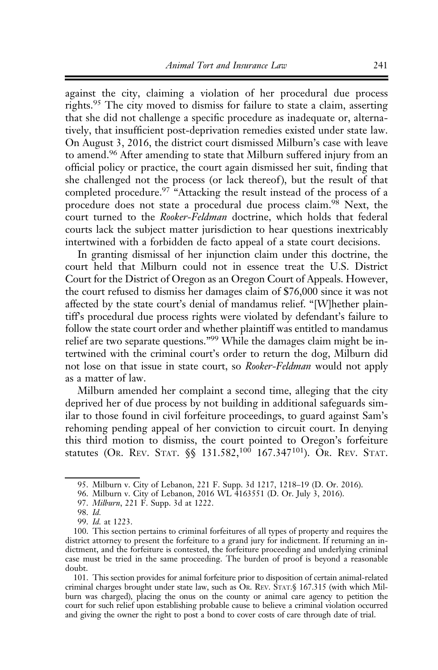against the city, claiming a violation of her procedural due process rights.<sup>95</sup> The city moved to dismiss for failure to state a claim, asserting that she did not challenge a specific procedure as inadequate or, alternatively, that insufficient post-deprivation remedies existed under state law. On August 3, 2016, the district court dismissed Milburn's case with leave to amend.<sup>96</sup> After amending to state that Milburn suffered injury from an official policy or practice, the court again dismissed her suit, finding that she challenged not the process (or lack thereof), but the result of that completed procedure.<sup>97</sup> "Attacking the result instead of the process of a procedure does not state a procedural due process claim.<sup>98</sup> Next, the court turned to the Rooker-Feldman doctrine, which holds that federal courts lack the subject matter jurisdiction to hear questions inextricably intertwined with a forbidden de facto appeal of a state court decisions.

In granting dismissal of her injunction claim under this doctrine, the court held that Milburn could not in essence treat the U.S. District Court for the District of Oregon as an Oregon Court of Appeals. However, the court refused to dismiss her damages claim of \$76,000 since it was not affected by the state court's denial of mandamus relief. "[W]hether plaintiff's procedural due process rights were violated by defendant's failure to follow the state court order and whether plaintiff was entitled to mandamus relief are two separate questions."99 While the damages claim might be intertwined with the criminal court's order to return the dog, Milburn did not lose on that issue in state court, so Rooker-Feldman would not apply as a matter of law.

Milburn amended her complaint a second time, alleging that the city deprived her of due process by not building in additional safeguards similar to those found in civil forfeiture proceedings, to guard against Sam's rehoming pending appeal of her conviction to circuit court. In denying this third motion to dismiss, the court pointed to Oregon's forfeiture statutes (Or. REV. STAT. §§ 131.582,<sup>100</sup> 167.347<sup>101</sup>). Or. REV. STAT.

101. This section provides for animal forfeiture prior to disposition of certain animal-related criminal charges brought under state law, such as OR. REV. STAT.§ 167.315 (with which Milburn was charged), placing the onus on the county or animal care agency to petition the court for such relief upon establishing probable cause to believe a criminal violation occurred and giving the owner the right to post a bond to cover costs of care through date of trial.

<sup>95.</sup> Milburn v. City of Lebanon, 221 F. Supp. 3d 1217, 1218–19 (D. Or. 2016).

<sup>96.</sup> Milburn v. City of Lebanon, 2016 WL 4163551 (D. Or. July 3, 2016).

<sup>97.</sup> Milburn, 221 F. Supp. 3d at 1222.

<sup>98.</sup> Id.

<sup>99.</sup> Id. at 1223.

<sup>100.</sup> This section pertains to criminal forfeitures of all types of property and requires the district attorney to present the forfeiture to a grand jury for indictment. If returning an indictment, and the forfeiture is contested, the forfeiture proceeding and underlying criminal case must be tried in the same proceeding. The burden of proof is beyond a reasonable doubt.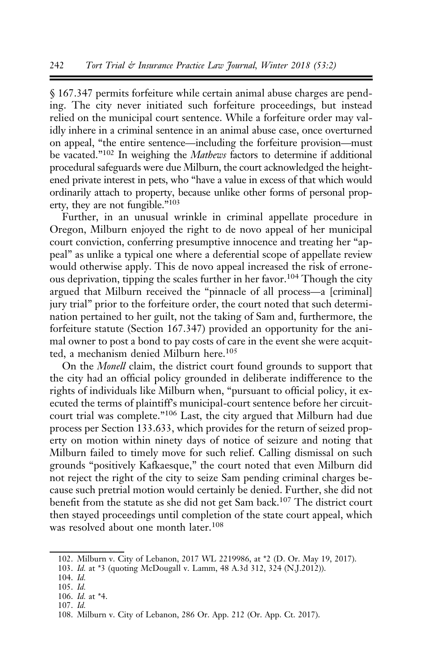§ 167.347 permits forfeiture while certain animal abuse charges are pending. The city never initiated such forfeiture proceedings, but instead relied on the municipal court sentence. While a forfeiture order may validly inhere in a criminal sentence in an animal abuse case, once overturned on appeal, "the entire sentence—including the forfeiture provision—must be vacated."<sup>102</sup> In weighing the *Mathews* factors to determine if additional procedural safeguards were due Milburn, the court acknowledged the heightened private interest in pets, who "have a value in excess of that which would ordinarily attach to property, because unlike other forms of personal property, they are not fungible."103

Further, in an unusual wrinkle in criminal appellate procedure in Oregon, Milburn enjoyed the right to de novo appeal of her municipal court conviction, conferring presumptive innocence and treating her "appeal" as unlike a typical one where a deferential scope of appellate review would otherwise apply. This de novo appeal increased the risk of erroneous deprivation, tipping the scales further in her favor.<sup>104</sup> Though the city argued that Milburn received the "pinnacle of all process—a [criminal] jury trial" prior to the forfeiture order, the court noted that such determination pertained to her guilt, not the taking of Sam and, furthermore, the forfeiture statute (Section 167.347) provided an opportunity for the animal owner to post a bond to pay costs of care in the event she were acquitted, a mechanism denied Milburn here.<sup>105</sup>

On the Monell claim, the district court found grounds to support that the city had an official policy grounded in deliberate indifference to the rights of individuals like Milburn when, "pursuant to official policy, it executed the terms of plaintiff's municipal-court sentence before her circuitcourt trial was complete."<sup>106</sup> Last, the city argued that Milburn had due process per Section 133.633, which provides for the return of seized property on motion within ninety days of notice of seizure and noting that Milburn failed to timely move for such relief. Calling dismissal on such grounds "positively Kafkaesque," the court noted that even Milburn did not reject the right of the city to seize Sam pending criminal charges because such pretrial motion would certainly be denied. Further, she did not benefit from the statute as she did not get Sam back.<sup>107</sup> The district court then stayed proceedings until completion of the state court appeal, which was resolved about one month later.<sup>108</sup>

<sup>102.</sup> Milburn v. City of Lebanon, 2017 WL 2219986, at \*2 (D. Or. May 19, 2017).

<sup>103.</sup> Id. at \*3 (quoting McDougall v. Lamm, 48 A.3d 312, 324 (N.J.2012)).

<sup>104.</sup> Id.

<sup>105.</sup> Id.

<sup>106.</sup> Id. at \*4.

<sup>107.</sup> Id.

<sup>108.</sup> Milburn v. City of Lebanon, 286 Or. App. 212 (Or. App. Ct. 2017).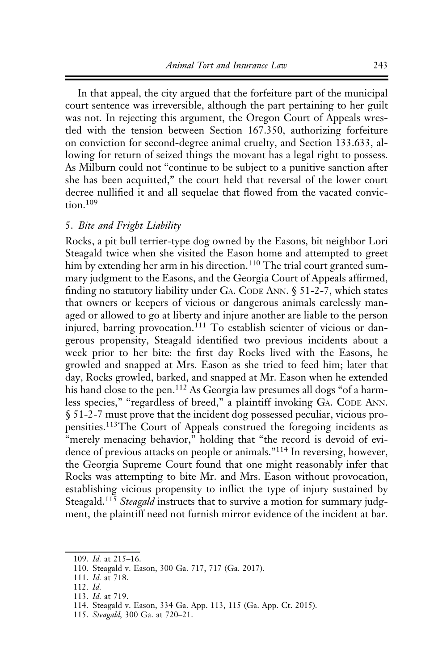In that appeal, the city argued that the forfeiture part of the municipal court sentence was irreversible, although the part pertaining to her guilt was not. In rejecting this argument, the Oregon Court of Appeals wrestled with the tension between Section 167.350, authorizing forfeiture on conviction for second-degree animal cruelty, and Section 133.633, allowing for return of seized things the movant has a legal right to possess. As Milburn could not "continue to be subject to a punitive sanction after she has been acquitted," the court held that reversal of the lower court decree nullified it and all sequelae that flowed from the vacated convic $tion$ <sup>109</sup>

### 5. Bite and Fright Liability

Rocks, a pit bull terrier-type dog owned by the Easons, bit neighbor Lori Steagald twice when she visited the Eason home and attempted to greet him by extending her arm in his direction.<sup>110</sup> The trial court granted summary judgment to the Easons, and the Georgia Court of Appeals affirmed, finding no statutory liability under GA. CODE ANN.  $\S$  51-2-7, which states that owners or keepers of vicious or dangerous animals carelessly managed or allowed to go at liberty and injure another are liable to the person injured, barring provocation.<sup>111</sup> To establish scienter of vicious or dangerous propensity, Steagald identified two previous incidents about a week prior to her bite: the first day Rocks lived with the Easons, he growled and snapped at Mrs. Eason as she tried to feed him; later that day, Rocks growled, barked, and snapped at Mr. Eason when he extended his hand close to the pen.<sup>112</sup> As Georgia law presumes all dogs "of a harmless species," "regardless of breed," a plaintiff invoking GA. CODE ANN. § 51-2-7 must prove that the incident dog possessed peculiar, vicious propensities.113The Court of Appeals construed the foregoing incidents as "merely menacing behavior," holding that "the record is devoid of evidence of previous attacks on people or animals."<sup>114</sup> In reversing, however, the Georgia Supreme Court found that one might reasonably infer that Rocks was attempting to bite Mr. and Mrs. Eason without provocation, establishing vicious propensity to inflict the type of injury sustained by Steagald.<sup>115</sup> Steagald instructs that to survive a motion for summary judgment, the plaintiff need not furnish mirror evidence of the incident at bar.

- 112. Id.
- 113. Id. at 719.

115. Steagald, 300 Ga. at 720–21.

<sup>109.</sup> Id. at 215–16.

<sup>110.</sup> Steagald v. Eason, 300 Ga. 717, 717 (Ga. 2017).

<sup>111.</sup> Id. at 718.

<sup>114.</sup> Steagald v. Eason, 334 Ga. App. 113, 115 (Ga. App. Ct. 2015).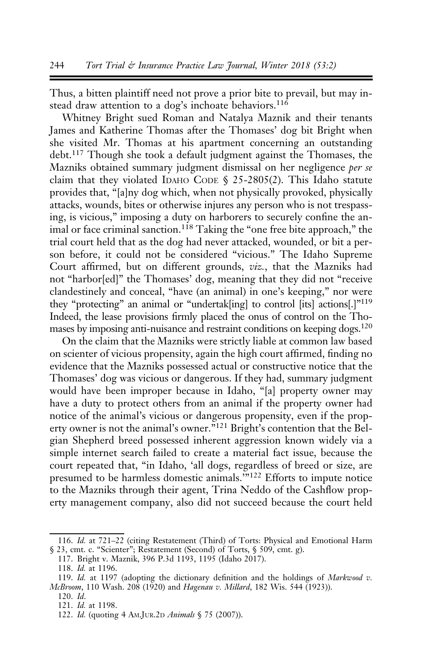Thus, a bitten plaintiff need not prove a prior bite to prevail, but may instead draw attention to a dog's inchoate behaviors.<sup>116</sup>

Whitney Bright sued Roman and Natalya Maznik and their tenants James and Katherine Thomas after the Thomases' dog bit Bright when she visited Mr. Thomas at his apartment concerning an outstanding debt.<sup>117</sup> Though she took a default judgment against the Thomases, the Mazniks obtained summary judgment dismissal on her negligence per se claim that they violated IDAHO CODE § 25-2805(2). This Idaho statute provides that, "[a]ny dog which, when not physically provoked, physically attacks, wounds, bites or otherwise injures any person who is not trespassing, is vicious," imposing a duty on harborers to securely confine the animal or face criminal sanction.<sup>118</sup> Taking the "one free bite approach," the trial court held that as the dog had never attacked, wounded, or bit a person before, it could not be considered "vicious." The Idaho Supreme Court affirmed, but on different grounds, viz., that the Mazniks had not "harbor[ed]" the Thomases' dog, meaning that they did not "receive clandestinely and conceal, "have (an animal) in one's keeping," nor were they "protecting" an animal or "undertak[ing] to control [its] actions[.]"119 Indeed, the lease provisions firmly placed the onus of control on the Thomases by imposing anti-nuisance and restraint conditions on keeping dogs.<sup>120</sup>

On the claim that the Mazniks were strictly liable at common law based on scienter of vicious propensity, again the high court affirmed, finding no evidence that the Mazniks possessed actual or constructive notice that the Thomases' dog was vicious or dangerous. If they had, summary judgment would have been improper because in Idaho, "[a] property owner may have a duty to protect others from an animal if the property owner had notice of the animal's vicious or dangerous propensity, even if the property owner is not the animal's owner."<sup>121</sup> Bright's contention that the Belgian Shepherd breed possessed inherent aggression known widely via a simple internet search failed to create a material fact issue, because the court repeated that, "in Idaho, 'all dogs, regardless of breed or size, are presumed to be harmless domestic animals.'"<sup>122</sup> Efforts to impute notice to the Mazniks through their agent, Trina Neddo of the Cashflow property management company, also did not succeed because the court held

<sup>116.</sup> Id. at 721–22 (citing Restatement (Third) of Torts: Physical and Emotional Harm § 23, cmt. c. "Scienter"; Restatement (Second) of Torts, § 509, cmt. g).

<sup>117.</sup> Bright v. Maznik, 396 P.3d 1193, 1195 (Idaho 2017).

<sup>118.</sup> Id. at 1196.

<sup>119.</sup> Id. at 1197 (adopting the dictionary definition and the holdings of Markwood v. McBroom, 110 Wash. 208 (1920) and Hagenau v. Millard, 182 Wis. 544 (1923)).

<sup>120.</sup> Id.

<sup>121.</sup> Id. at 1198.

<sup>122.</sup> Id. (quoting 4 AM.JUR.2D Animals § 75 (2007)).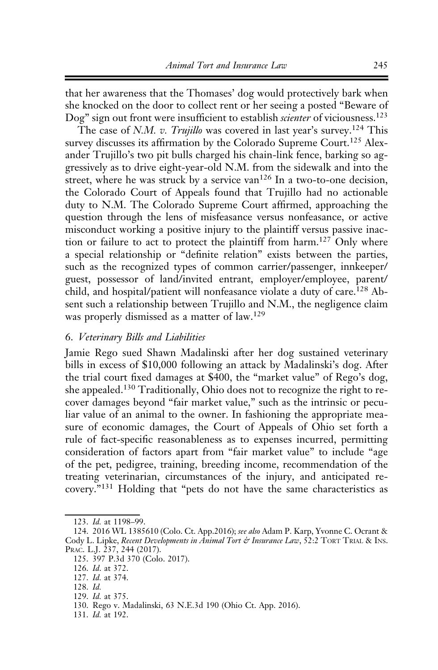that her awareness that the Thomases' dog would protectively bark when she knocked on the door to collect rent or her seeing a posted "Beware of Dog" sign out front were insufficient to establish *scienter* of viciousness.<sup>123</sup>

The case of N.M. v. Trujillo was covered in last year's survey.<sup>124</sup> This survey discusses its affirmation by the Colorado Supreme Court.<sup>125</sup> Alexander Trujillo's two pit bulls charged his chain-link fence, barking so aggressively as to drive eight-year-old N.M. from the sidewalk and into the street, where he was struck by a service van<sup>126</sup> In a two-to-one decision, the Colorado Court of Appeals found that Trujillo had no actionable duty to N.M. The Colorado Supreme Court affirmed, approaching the question through the lens of misfeasance versus nonfeasance, or active misconduct working a positive injury to the plaintiff versus passive inaction or failure to act to protect the plaintiff from harm.<sup>127</sup> Only where a special relationship or "definite relation" exists between the parties, such as the recognized types of common carrier/passenger, innkeeper/ guest, possessor of land/invited entrant, employer/employee, parent/ child, and hospital/patient will nonfeasance violate a duty of care.<sup>128</sup> Absent such a relationship between Trujillo and N.M., the negligence claim was properly dismissed as a matter of law.<sup>129</sup>

# 6. Veterinary Bills and Liabilities

Jamie Rego sued Shawn Madalinski after her dog sustained veterinary bills in excess of \$10,000 following an attack by Madalinski's dog. After the trial court fixed damages at \$400, the "market value" of Rego's dog, she appealed.<sup>130</sup> Traditionally, Ohio does not to recognize the right to recover damages beyond "fair market value," such as the intrinsic or peculiar value of an animal to the owner. In fashioning the appropriate measure of economic damages, the Court of Appeals of Ohio set forth a rule of fact-specific reasonableness as to expenses incurred, permitting consideration of factors apart from "fair market value" to include "age of the pet, pedigree, training, breeding income, recommendation of the treating veterinarian, circumstances of the injury, and anticipated recovery."<sup>131</sup> Holding that "pets do not have the same characteristics as

<sup>123.</sup> Id. at 1198–99.

<sup>124. 2016</sup> WL 1385610 (Colo. Ct. App.2016); see also Adam P. Karp, Yvonne C. Ocrant & Cody L. Lipke, Recent Developments in Animal Tort & Insurance Law, 52:2 TORT TRIAL & INS. PRAC. L.J. 237, 244 (2017).

<sup>125. 397</sup> P.3d 370 (Colo. 2017).

<sup>126.</sup> Id. at 372.

<sup>127.</sup> Id. at 374.

<sup>128.</sup> Id.

<sup>129.</sup> Id. at 375.

<sup>130.</sup> Rego v. Madalinski, 63 N.E.3d 190 (Ohio Ct. App. 2016).

<sup>131.</sup> Id. at 192.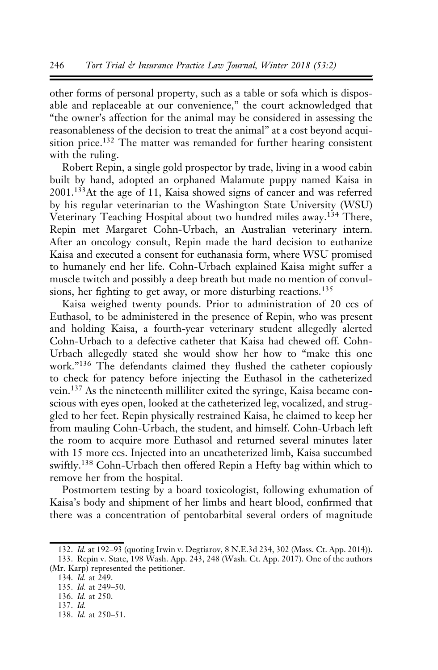other forms of personal property, such as a table or sofa which is disposable and replaceable at our convenience," the court acknowledged that "the owner's affection for the animal may be considered in assessing the reasonableness of the decision to treat the animal" at a cost beyond acquisition price.<sup>132</sup> The matter was remanded for further hearing consistent with the ruling.

Robert Repin, a single gold prospector by trade, living in a wood cabin built by hand, adopted an orphaned Malamute puppy named Kaisa in 2001.133At the age of 11, Kaisa showed signs of cancer and was referred by his regular veterinarian to the Washington State University (WSU) Veterinary Teaching Hospital about two hundred miles away.<sup>134</sup> There, Repin met Margaret Cohn-Urbach, an Australian veterinary intern. After an oncology consult, Repin made the hard decision to euthanize Kaisa and executed a consent for euthanasia form, where WSU promised to humanely end her life. Cohn-Urbach explained Kaisa might suffer a muscle twitch and possibly a deep breath but made no mention of convulsions, her fighting to get away, or more disturbing reactions.<sup>135</sup>

Kaisa weighed twenty pounds. Prior to administration of 20 ccs of Euthasol, to be administered in the presence of Repin, who was present and holding Kaisa, a fourth-year veterinary student allegedly alerted Cohn-Urbach to a defective catheter that Kaisa had chewed off. Cohn-Urbach allegedly stated she would show her how to "make this one work."<sup>136</sup> The defendants claimed they flushed the catheter copiously to check for patency before injecting the Euthasol in the catheterized vein.<sup>137</sup> As the nineteenth milliliter exited the syringe, Kaisa became conscious with eyes open, looked at the catheterized leg, vocalized, and struggled to her feet. Repin physically restrained Kaisa, he claimed to keep her from mauling Cohn-Urbach, the student, and himself. Cohn-Urbach left the room to acquire more Euthasol and returned several minutes later with 15 more ccs. Injected into an uncatheterized limb, Kaisa succumbed swiftly.<sup>138</sup> Cohn-Urbach then offered Repin a Hefty bag within which to remove her from the hospital.

Postmortem testing by a board toxicologist, following exhumation of Kaisa's body and shipment of her limbs and heart blood, confirmed that there was a concentration of pentobarbital several orders of magnitude

<sup>132.</sup> Id. at 192–93 (quoting Irwin v. Degtiarov, 8 N.E.3d 234, 302 (Mass. Ct. App. 2014)). 133. Repin v. State, 198 Wash. App. 243, 248 (Wash. Ct. App. 2017). One of the authors

<sup>(</sup>Mr. Karp) represented the petitioner.

<sup>134.</sup>  $I\hat{d}$ . at 249.

<sup>135.</sup> Id. at 249–50.

<sup>136.</sup> Id. at 250. 137. Id.

<sup>138.</sup> Id. at 250–51.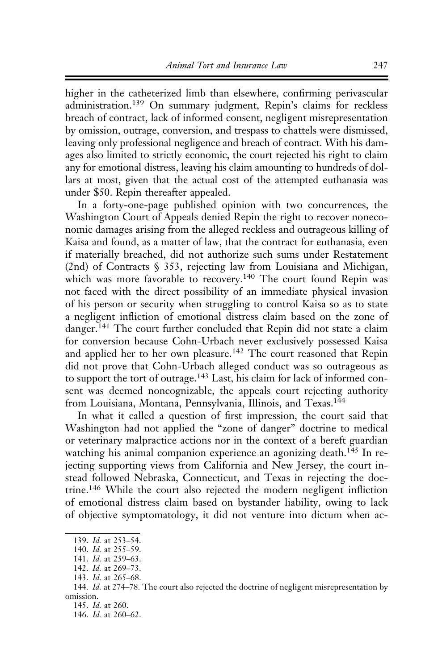higher in the catheterized limb than elsewhere, confirming perivascular administration.<sup>139</sup> On summary judgment, Repin's claims for reckless breach of contract, lack of informed consent, negligent misrepresentation by omission, outrage, conversion, and trespass to chattels were dismissed, leaving only professional negligence and breach of contract. With his damages also limited to strictly economic, the court rejected his right to claim any for emotional distress, leaving his claim amounting to hundreds of dollars at most, given that the actual cost of the attempted euthanasia was under \$50. Repin thereafter appealed.

In a forty-one-page published opinion with two concurrences, the Washington Court of Appeals denied Repin the right to recover noneconomic damages arising from the alleged reckless and outrageous killing of Kaisa and found, as a matter of law, that the contract for euthanasia, even if materially breached, did not authorize such sums under Restatement (2nd) of Contracts § 353, rejecting law from Louisiana and Michigan, which was more favorable to recovery.<sup>140</sup> The court found Repin was not faced with the direct possibility of an immediate physical invasion of his person or security when struggling to control Kaisa so as to state a negligent infliction of emotional distress claim based on the zone of danger.<sup>141</sup> The court further concluded that Repin did not state a claim for conversion because Cohn-Urbach never exclusively possessed Kaisa and applied her to her own pleasure.<sup>142</sup> The court reasoned that Repin did not prove that Cohn-Urbach alleged conduct was so outrageous as to support the tort of outrage.<sup>143</sup> Last, his claim for lack of informed consent was deemed noncognizable, the appeals court rejecting authority from Louisiana, Montana, Pennsylvania, Illinois, and Texas.<sup>144</sup>

In what it called a question of first impression, the court said that Washington had not applied the "zone of danger" doctrine to medical or veterinary malpractice actions nor in the context of a bereft guardian watching his animal companion experience an agonizing death.<sup>145</sup> In rejecting supporting views from California and New Jersey, the court instead followed Nebraska, Connecticut, and Texas in rejecting the doctrine.<sup>146</sup> While the court also rejected the modern negligent infliction of emotional distress claim based on bystander liability, owing to lack of objective symptomatology, it did not venture into dictum when ac-

<sup>139.</sup> Id. at 253-54.

<sup>140.</sup> Id. at 255–59.

<sup>141.</sup> Id. at 259–63.

<sup>142.</sup> Id. at 269–73.

<sup>143.</sup> Id. at 265–68.

<sup>144.</sup> Id. at 274–78. The court also rejected the doctrine of negligent misrepresentation by omission.

<sup>145.</sup> Id. at 260.

<sup>146.</sup> Id. at 260–62.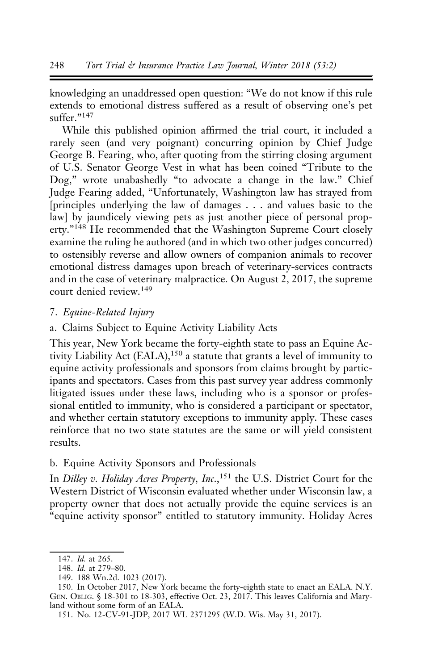knowledging an unaddressed open question: "We do not know if this rule extends to emotional distress suffered as a result of observing one's pet  $\sqrt{\frac{2}{147}}$ 

While this published opinion affirmed the trial court, it included a rarely seen (and very poignant) concurring opinion by Chief Judge George B. Fearing, who, after quoting from the stirring closing argument of U.S. Senator George Vest in what has been coined "Tribute to the Dog," wrote unabashedly "to advocate a change in the law." Chief Judge Fearing added, "Unfortunately, Washington law has strayed from [principles underlying the law of damages . . . and values basic to the law] by jaundicely viewing pets as just another piece of personal property."<sup>148</sup> He recommended that the Washington Supreme Court closely examine the ruling he authored (and in which two other judges concurred) to ostensibly reverse and allow owners of companion animals to recover emotional distress damages upon breach of veterinary-services contracts and in the case of veterinary malpractice. On August 2, 2017, the supreme court denied review.<sup>149</sup>

### 7. Equine-Related Injury

a. Claims Subject to Equine Activity Liability Acts

This year, New York became the forty-eighth state to pass an Equine Activity Liability Act (EALA), $150$  a statute that grants a level of immunity to equine activity professionals and sponsors from claims brought by participants and spectators. Cases from this past survey year address commonly litigated issues under these laws, including who is a sponsor or professional entitled to immunity, who is considered a participant or spectator, and whether certain statutory exceptions to immunity apply. These cases reinforce that no two state statutes are the same or will yield consistent results.

# b. Equine Activity Sponsors and Professionals

In Dilley v. Holiday Acres Property, Inc.,<sup>151</sup> the U.S. District Court for the Western District of Wisconsin evaluated whether under Wisconsin law, a property owner that does not actually provide the equine services is an "equine activity sponsor" entitled to statutory immunity. Holiday Acres

<sup>147.</sup> Id. at 265.

<sup>148.</sup> Id. at 279–80.

<sup>149. 188</sup> Wn.2d. 1023 (2017).

<sup>150.</sup> In October 2017, New York became the forty-eighth state to enact an EALA. N.Y. GEN. OBLIG. § 18-301 to 18-303, effective Oct. 23, 2017. This leaves California and Maryland without some form of an EALA.

<sup>151.</sup> No. 12-CV-91-JDP, 2017 WL 2371295 (W.D. Wis. May 31, 2017).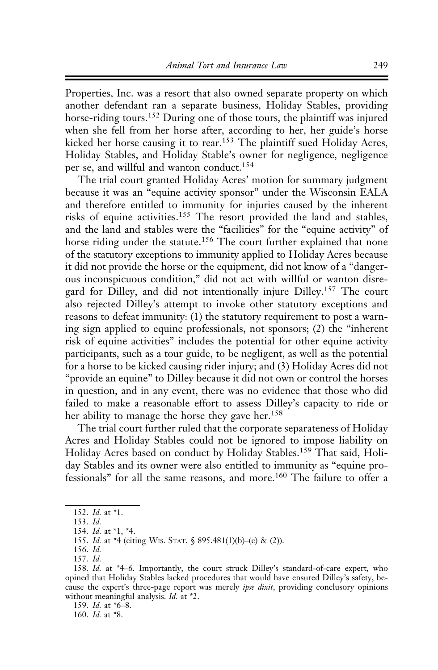Properties, Inc. was a resort that also owned separate property on which another defendant ran a separate business, Holiday Stables, providing horse-riding tours.<sup>152</sup> During one of those tours, the plaintiff was injured when she fell from her horse after, according to her, her guide's horse kicked her horse causing it to rear.<sup>153</sup> The plaintiff sued Holiday Acres, Holiday Stables, and Holiday Stable's owner for negligence, negligence per se, and willful and wanton conduct.<sup>154</sup>

The trial court granted Holiday Acres' motion for summary judgment because it was an "equine activity sponsor" under the Wisconsin EALA and therefore entitled to immunity for injuries caused by the inherent risks of equine activities.<sup>155</sup> The resort provided the land and stables, and the land and stables were the "facilities" for the "equine activity" of horse riding under the statute.<sup>156</sup> The court further explained that none of the statutory exceptions to immunity applied to Holiday Acres because it did not provide the horse or the equipment, did not know of a "dangerous inconspicuous condition," did not act with willful or wanton disregard for Dilley, and did not intentionally injure Dilley.<sup>157</sup> The court also rejected Dilley's attempt to invoke other statutory exceptions and reasons to defeat immunity: (1) the statutory requirement to post a warning sign applied to equine professionals, not sponsors; (2) the "inherent risk of equine activities" includes the potential for other equine activity participants, such as a tour guide, to be negligent, as well as the potential for a horse to be kicked causing rider injury; and (3) Holiday Acres did not "provide an equine" to Dilley because it did not own or control the horses in question, and in any event, there was no evidence that those who did failed to make a reasonable effort to assess Dilley's capacity to ride or her ability to manage the horse they gave her.<sup>158</sup>

The trial court further ruled that the corporate separateness of Holiday Acres and Holiday Stables could not be ignored to impose liability on Holiday Acres based on conduct by Holiday Stables.<sup>159</sup> That said, Holiday Stables and its owner were also entitled to immunity as "equine professionals" for all the same reasons, and more.<sup>160</sup> The failure to offer a

153. Id.

159. Id. at \*6–8.

160. Id. at \*8.

<sup>152.</sup> Id. at \*1.

<sup>154.</sup> Id. at \*1, \*4.

<sup>155.</sup> Id. at \*4 (citing WIS. STAT. § 895.481(1)(b)–(c) & (2)).

<sup>156.</sup> Id.

<sup>157.</sup> Id.

<sup>158.</sup> Id. at \*4–6. Importantly, the court struck Dilley's standard-of-care expert, who opined that Holiday Stables lacked procedures that would have ensured Dilley's safety, because the expert's three-page report was merely ipse dixit, providing conclusory opinions without meaningful analysis. *Id.* at \*2.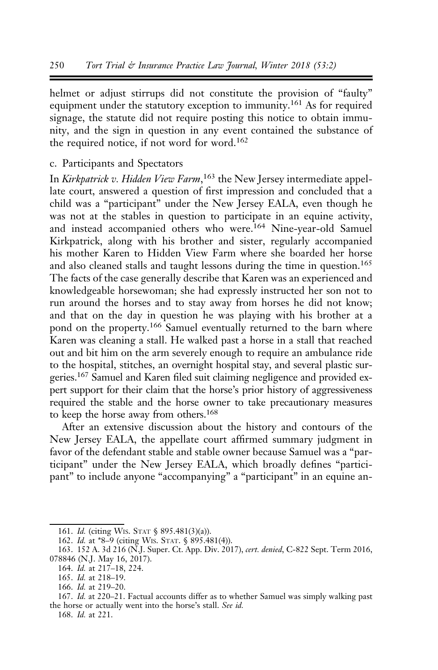helmet or adjust stirrups did not constitute the provision of "faulty" equipment under the statutory exception to immunity.<sup>161</sup> As for required signage, the statute did not require posting this notice to obtain immunity, and the sign in question in any event contained the substance of the required notice, if not word for word.<sup>162</sup>

### c. Participants and Spectators

In Kirkpatrick v. Hidden View Farm,<sup>163</sup> the New Jersey intermediate appellate court, answered a question of first impression and concluded that a child was a "participant" under the New Jersey EALA, even though he was not at the stables in question to participate in an equine activity, and instead accompanied others who were.<sup>164</sup> Nine-year-old Samuel Kirkpatrick, along with his brother and sister, regularly accompanied his mother Karen to Hidden View Farm where she boarded her horse and also cleaned stalls and taught lessons during the time in question.<sup>165</sup> The facts of the case generally describe that Karen was an experienced and knowledgeable horsewoman; she had expressly instructed her son not to run around the horses and to stay away from horses he did not know; and that on the day in question he was playing with his brother at a pond on the property.<sup>166</sup> Samuel eventually returned to the barn where Karen was cleaning a stall. He walked past a horse in a stall that reached out and bit him on the arm severely enough to require an ambulance ride to the hospital, stitches, an overnight hospital stay, and several plastic surgeries.167 Samuel and Karen filed suit claiming negligence and provided expert support for their claim that the horse's prior history of aggressiveness required the stable and the horse owner to take precautionary measures to keep the horse away from others.168

After an extensive discussion about the history and contours of the New Jersey EALA, the appellate court affirmed summary judgment in favor of the defendant stable and stable owner because Samuel was a "participant" under the New Jersey EALA, which broadly defines "participant" to include anyone "accompanying" a "participant" in an equine an-

168. Id. at 221.

<sup>161.</sup> Id. (citing WIS. STAT § 895.481(3)(a)).

<sup>162.</sup> Id. at \*8–9 (citing WIS. STAT. § 895.481(4)).

<sup>163. 152</sup> A. 3d 216 (N.J. Super. Ct. App. Div. 2017), cert. denied, C-822 Sept. Term 2016, 078846 (N.J. May 16, 2017).

<sup>164.</sup> *Id.* at 217-18, 224.

<sup>165.</sup> Id. at 218–19.

<sup>166.</sup> Id. at 219–20.

<sup>167.</sup> Id. at 220–21. Factual accounts differ as to whether Samuel was simply walking past the horse or actually went into the horse's stall. See id.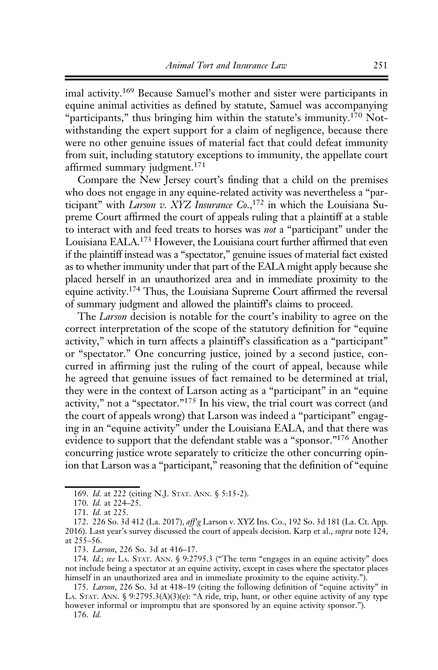imal activity.169 Because Samuel's mother and sister were participants in equine animal activities as defined by statute, Samuel was accompanying "participants," thus bringing him within the statute's immunity.<sup>170</sup> Notwithstanding the expert support for a claim of negligence, because there were no other genuine issues of material fact that could defeat immunity from suit, including statutory exceptions to immunity, the appellate court affirmed summary judgment.<sup>171</sup>

Compare the New Jersey court's finding that a child on the premises who does not engage in any equine-related activity was nevertheless a "participant" with Larson v. XYZ Insurance Co.,<sup>172</sup> in which the Louisiana Supreme Court affirmed the court of appeals ruling that a plaintiff at a stable to interact with and feed treats to horses was not a "participant" under the Louisiana EALA.173 However, the Louisiana court further affirmed that even if the plaintiff instead was a "spectator," genuine issues of material fact existed as to whether immunity under that part of the EALA might apply because she placed herself in an unauthorized area and in immediate proximity to the equine activity.174 Thus, the Louisiana Supreme Court affirmed the reversal of summary judgment and allowed the plaintiff's claims to proceed.

The *Larson* decision is notable for the court's inability to agree on the correct interpretation of the scope of the statutory definition for "equine activity," which in turn affects a plaintiff's classification as a "participant" or "spectator." One concurring justice, joined by a second justice, concurred in affirming just the ruling of the court of appeal, because while he agreed that genuine issues of fact remained to be determined at trial, they were in the context of Larson acting as a "participant" in an "equine activity," not a "spectator."<sup>175</sup> In his view, the trial court was correct (and the court of appeals wrong) that Larson was indeed a "participant" engaging in an "equine activity" under the Louisiana EALA, and that there was evidence to support that the defendant stable was a "sponsor."176 Another concurring justice wrote separately to criticize the other concurring opinion that Larson was a "participant," reasoning that the definition of "equine

<sup>169.</sup> Id. at 222 (citing N.J. STAT. ANN. § 5:15-2).

<sup>170.</sup> Id. at 224-25.

<sup>171.</sup> Id. at 225.

<sup>172. 226</sup> So. 3d 412 (La. 2017), aff'g Larson v. XYZ Ins. Co., 192 So. 3d 181 (La. Ct. App. 2016). Last year's survey discussed the court of appeals decision. Karp et al., *supra* note  $124$ , at 255–56.

<sup>173.</sup> Larson, 226 So. 3d at 416–17.

<sup>174.</sup> Id.; see LA. STAT. ANN. § 9:2795.3 ("The term "engages in an equine activity" does not include being a spectator at an equine activity, except in cases where the spectator places himself in an unauthorized area and in immediate proximity to the equine activity.").

<sup>175.</sup> Larson, 226 So. 3d at 418–19 (citing the following definition of "equine activity" in LA. STAT. ANN. § 9:2795.3(A)(3)(e): "A ride, trip, hunt, or other equine activity of any type however informal or impromptu that are sponsored by an equine activity sponsor.").

<sup>176.</sup> Id.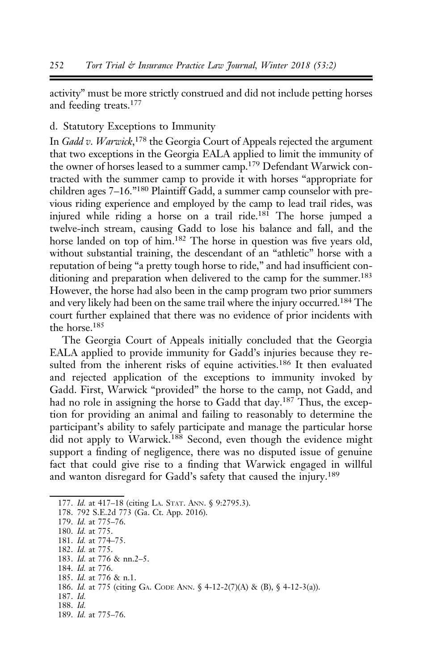activity" must be more strictly construed and did not include petting horses and feeding treats.177

# d. Statutory Exceptions to Immunity

In Gadd v. Warwick,<sup>178</sup> the Georgia Court of Appeals rejected the argument that two exceptions in the Georgia EALA applied to limit the immunity of the owner of horses leased to a summer camp.<sup>179</sup> Defendant Warwick contracted with the summer camp to provide it with horses "appropriate for children ages 7–16."180 Plaintiff Gadd, a summer camp counselor with previous riding experience and employed by the camp to lead trail rides, was injured while riding a horse on a trail ride.181 The horse jumped a twelve-inch stream, causing Gadd to lose his balance and fall, and the horse landed on top of him.<sup>182</sup> The horse in question was five years old, without substantial training, the descendant of an "athletic" horse with a reputation of being "a pretty tough horse to ride," and had insufficient conditioning and preparation when delivered to the camp for the summer.<sup>183</sup> However, the horse had also been in the camp program two prior summers and very likely had been on the same trail where the injury occurred.<sup>184</sup> The court further explained that there was no evidence of prior incidents with the horse.185

The Georgia Court of Appeals initially concluded that the Georgia EALA applied to provide immunity for Gadd's injuries because they resulted from the inherent risks of equine activities.<sup>186</sup> It then evaluated and rejected application of the exceptions to immunity invoked by Gadd. First, Warwick "provided" the horse to the camp, not Gadd, and had no role in assigning the horse to Gadd that day.<sup>187</sup> Thus, the exception for providing an animal and failing to reasonably to determine the participant's ability to safely participate and manage the particular horse did not apply to Warwick.<sup>188</sup> Second, even though the evidence might support a finding of negligence, there was no disputed issue of genuine fact that could give rise to a finding that Warwick engaged in willful and wanton disregard for Gadd's safety that caused the injury.<sup>189</sup>

177. Id. at 417-18 (citing LA. STAT. ANN. § 9:2795.3).

179. Id. at 775–76.

181. Id. at 774–75.

- 184. Id. at 776.
- 185. Id. at 776 & n.1.

- 187. Id.
- 188. Id.

<sup>178. 792</sup> S.E.2d 773 (Ga. Ct. App. 2016).

<sup>180.</sup> Id. at 775.

<sup>182.</sup> Id. at 775. 183. Id. at 776 & nn.2–5.

<sup>186.</sup> Id. at 775 (citing GA. CODE ANN. § 4-12-2(7)(A) & (B), § 4-12-3(a)).

<sup>189.</sup> Id. at 775–76.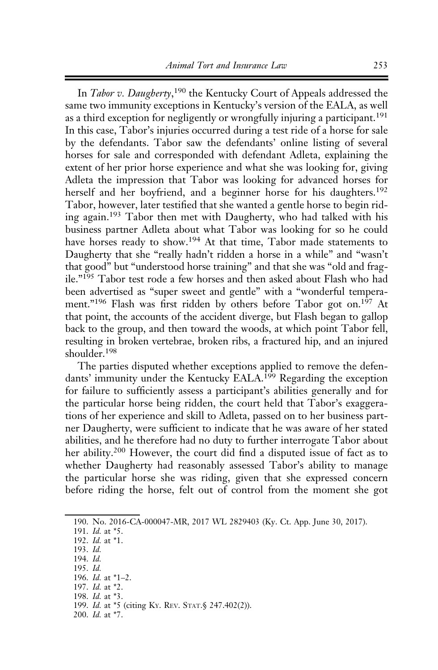In *Tabor v. Daugherty*,<sup>190</sup> the Kentucky Court of Appeals addressed the same two immunity exceptions in Kentucky's version of the EALA, as well as a third exception for negligently or wrongfully injuring a participant.<sup>191</sup> In this case, Tabor's injuries occurred during a test ride of a horse for sale by the defendants. Tabor saw the defendants' online listing of several horses for sale and corresponded with defendant Adleta, explaining the extent of her prior horse experience and what she was looking for, giving Adleta the impression that Tabor was looking for advanced horses for herself and her boyfriend, and a beginner horse for his daughters.<sup>192</sup> Tabor, however, later testified that she wanted a gentle horse to begin riding again.<sup>193</sup> Tabor then met with Daugherty, who had talked with his business partner Adleta about what Tabor was looking for so he could have horses ready to show.<sup>194</sup> At that time, Tabor made statements to Daugherty that she "really hadn't ridden a horse in a while" and "wasn't that good" but "understood horse training" and that she was "old and fragile."195 Tabor test rode a few horses and then asked about Flash who had been advertised as "super sweet and gentle" with a "wonderful temperament."<sup>196</sup> Flash was first ridden by others before Tabor got on.<sup>197</sup> At that point, the accounts of the accident diverge, but Flash began to gallop back to the group, and then toward the woods, at which point Tabor fell, resulting in broken vertebrae, broken ribs, a fractured hip, and an injured shoulder.198

The parties disputed whether exceptions applied to remove the defendants' immunity under the Kentucky EALA.<sup>199</sup> Regarding the exception for failure to sufficiently assess a participant's abilities generally and for the particular horse being ridden, the court held that Tabor's exaggerations of her experience and skill to Adleta, passed on to her business partner Daugherty, were sufficient to indicate that he was aware of her stated abilities, and he therefore had no duty to further interrogate Tabor about her ability.<sup>200</sup> However, the court did find a disputed issue of fact as to whether Daugherty had reasonably assessed Tabor's ability to manage the particular horse she was riding, given that she expressed concern before riding the horse, felt out of control from the moment she got

195. Id.

198. Id. at \*3.

<sup>190.</sup> No. 2016-CA-000047-MR, 2017 WL 2829403 (Ky. Ct. App. June 30, 2017).

<sup>191.</sup> Id. at \*5.

<sup>192.</sup> Id. at \*1.

<sup>193.</sup> Id. 194. Id.

<sup>196.</sup> Id. at \*1–2.

<sup>197.</sup> Id. at \*2.

<sup>199.</sup> Id. at \*5 (citing KY. REV. STAT.§ 247.402(2)).

<sup>200.</sup> Id. at \*7.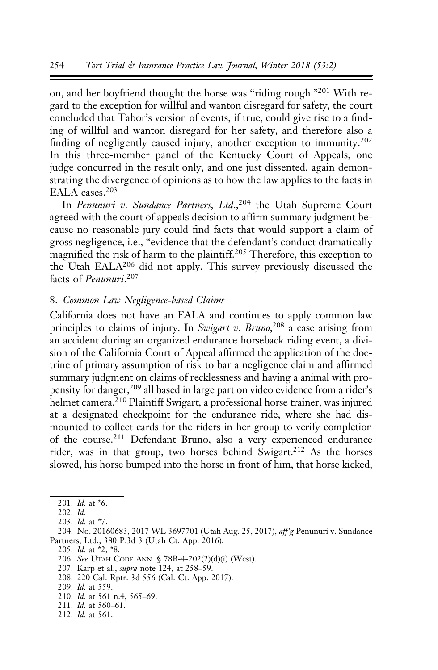on, and her boyfriend thought the horse was "riding rough."<sup>201</sup> With regard to the exception for willful and wanton disregard for safety, the court concluded that Tabor's version of events, if true, could give rise to a finding of willful and wanton disregard for her safety, and therefore also a finding of negligently caused injury, another exception to immunity.<sup>202</sup> In this three-member panel of the Kentucky Court of Appeals, one judge concurred in the result only, and one just dissented, again demonstrating the divergence of opinions as to how the law applies to the facts in EALA cases.<sup>203</sup>

In Penunuri v. Sundance Partners, Ltd.,<sup>204</sup> the Utah Supreme Court agreed with the court of appeals decision to affirm summary judgment because no reasonable jury could find facts that would support a claim of gross negligence, i.e., "evidence that the defendant's conduct dramatically magnified the risk of harm to the plaintiff.<sup>205</sup> Therefore, this exception to the Utah EALA<sup>206</sup> did not apply. This survey previously discussed the facts of *Penunuri*.<sup>207</sup>

### 8. Common Law Negligence-based Claims

California does not have an EALA and continues to apply common law principles to claims of injury. In Swigart v. Bruno,<sup>208</sup> a case arising from an accident during an organized endurance horseback riding event, a division of the California Court of Appeal affirmed the application of the doctrine of primary assumption of risk to bar a negligence claim and affirmed summary judgment on claims of recklessness and having a animal with propensity for danger,<sup>209</sup> all based in large part on video evidence from a rider's helmet camera.<sup>210</sup> Plaintiff Swigart, a professional horse trainer, was injured at a designated checkpoint for the endurance ride, where she had dismounted to collect cards for the riders in her group to verify completion of the course.211 Defendant Bruno, also a very experienced endurance rider, was in that group, two horses behind Swigart.<sup>212</sup> As the horses slowed, his horse bumped into the horse in front of him, that horse kicked,

- 207. Karp et al., *supra* note 124, at 258-59.
- 208. 220 Cal. Rptr. 3d 556 (Cal. Ct. App. 2017).
- 209. Id. at 559.
- 210. Id. at 561 n.4, 565–69.
- 211. Id. at 560–61.
- 212. Id. at 561.

<sup>201.</sup> Id. at \*6.

<sup>202.</sup> Id.

<sup>203.</sup> Id. at \*7.

<sup>204.</sup> No. 20160683, 2017 WL 3697701 (Utah Aug. 25, 2017), aff'g Penunuri v. Sundance Partners, Ltd., 380 P.3d 3 (Utah Ct. App. 2016).

<sup>205.</sup> Id. at \*2, \*8.

<sup>206.</sup> See UTAH CODE ANN. § 78B-4-202(2)(d)(i) (West).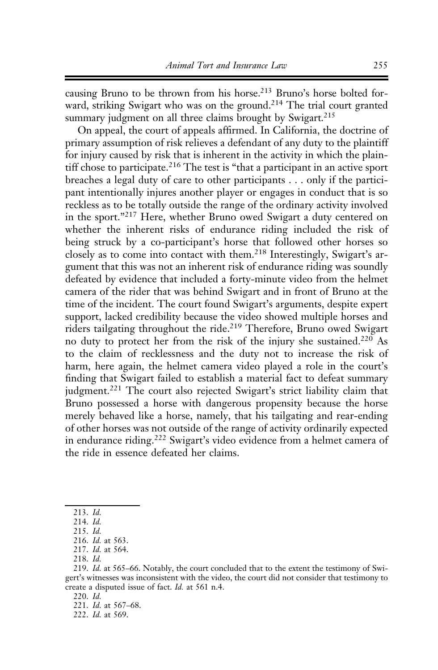causing Bruno to be thrown from his horse.<sup>213</sup> Bruno's horse bolted forward, striking Swigart who was on the ground.<sup>214</sup> The trial court granted summary judgment on all three claims brought by Swigart.<sup>215</sup>

On appeal, the court of appeals affirmed. In California, the doctrine of primary assumption of risk relieves a defendant of any duty to the plaintiff for injury caused by risk that is inherent in the activity in which the plaintiff chose to participate.<sup>216</sup> The test is "that a participant in an active sport breaches a legal duty of care to other participants . . . only if the participant intentionally injures another player or engages in conduct that is so reckless as to be totally outside the range of the ordinary activity involved in the sport."<sup>217</sup> Here, whether Bruno owed Swigart a duty centered on whether the inherent risks of endurance riding included the risk of being struck by a co-participant's horse that followed other horses so closely as to come into contact with them.<sup>218</sup> Interestingly, Swigart's argument that this was not an inherent risk of endurance riding was soundly defeated by evidence that included a forty-minute video from the helmet camera of the rider that was behind Swigart and in front of Bruno at the time of the incident. The court found Swigart's arguments, despite expert support, lacked credibility because the video showed multiple horses and riders tailgating throughout the ride.219 Therefore, Bruno owed Swigart no duty to protect her from the risk of the injury she sustained.<sup>220</sup> As to the claim of recklessness and the duty not to increase the risk of harm, here again, the helmet camera video played a role in the court's finding that Swigart failed to establish a material fact to defeat summary judgment.<sup>221</sup> The court also rejected Swigart's strict liability claim that Bruno possessed a horse with dangerous propensity because the horse merely behaved like a horse, namely, that his tailgating and rear-ending of other horses was not outside of the range of activity ordinarily expected in endurance riding.<sup>222</sup> Swigart's video evidence from a helmet camera of the ride in essence defeated her claims.

<sup>213.</sup> Id.

<sup>214.</sup> Id.

<sup>215.</sup> Id.

<sup>216.</sup> Id. at 563.

<sup>217.</sup> Id. at 564.

<sup>218.</sup> Id.

<sup>219.</sup> Id. at 565–66. Notably, the court concluded that to the extent the testimony of Swigert's witnesses was inconsistent with the video, the court did not consider that testimony to create a disputed issue of fact. Id. at 561 n.4.

<sup>220.</sup> Id.

<sup>221.</sup> Id. at 567–68.

<sup>222.</sup> Id. at 569.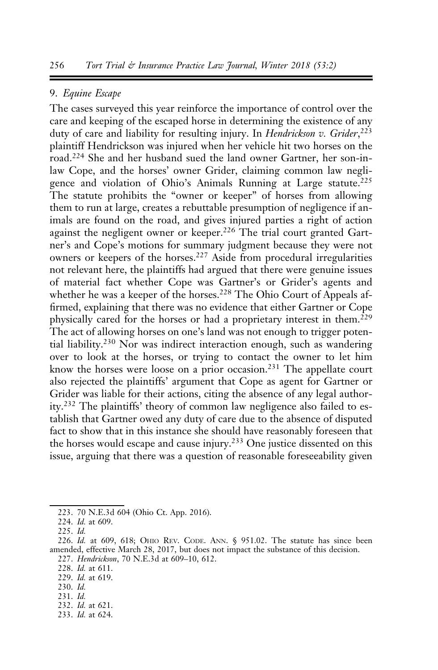### 9. Equine Escape

The cases surveyed this year reinforce the importance of control over the care and keeping of the escaped horse in determining the existence of any duty of care and liability for resulting injury. In Hendrickson v. Grider,<sup>223</sup> plaintiff Hendrickson was injured when her vehicle hit two horses on the road.<sup>224</sup> She and her husband sued the land owner Gartner, her son-inlaw Cope, and the horses' owner Grider, claiming common law negligence and violation of Ohio's Animals Running at Large statute.<sup>225</sup> The statute prohibits the "owner or keeper" of horses from allowing them to run at large, creates a rebuttable presumption of negligence if animals are found on the road, and gives injured parties a right of action against the negligent owner or keeper.<sup>226</sup> The trial court granted Gartner's and Cope's motions for summary judgment because they were not owners or keepers of the horses.<sup>227</sup> Aside from procedural irregularities not relevant here, the plaintiffs had argued that there were genuine issues of material fact whether Cope was Gartner's or Grider's agents and whether he was a keeper of the horses.<sup>228</sup> The Ohio Court of Appeals affirmed, explaining that there was no evidence that either Gartner or Cope physically cared for the horses or had a proprietary interest in them.<sup>229</sup> The act of allowing horses on one's land was not enough to trigger potential liability.<sup>230</sup> Nor was indirect interaction enough, such as wandering over to look at the horses, or trying to contact the owner to let him know the horses were loose on a prior occasion.<sup>231</sup> The appellate court also rejected the plaintiffs' argument that Cope as agent for Gartner or Grider was liable for their actions, citing the absence of any legal authority.<sup>232</sup> The plaintiffs' theory of common law negligence also failed to establish that Gartner owed any duty of care due to the absence of disputed fact to show that in this instance she should have reasonably foreseen that the horses would escape and cause injury.<sup>233</sup> One justice dissented on this issue, arguing that there was a question of reasonable foreseeability given

230. Id.

- 232. Id. at 621.
- 233. Id. at 624.

<sup>223. 70</sup> N.E.3d 604 (Ohio Ct. App. 2016).

<sup>224.</sup> Id. at 609.

<sup>225.</sup> Id.

<sup>226.</sup> Id. at 609, 618; OHIO REV. CODE. ANN. § 951.02. The statute has since been amended, effective March 28, 2017, but does not impact the substance of this decision.

<sup>227.</sup> Hendrickson, 70 N.E.3d at 609–10, 612.

<sup>228.</sup> Id. at 611.

<sup>229.</sup> Id. at 619.

<sup>231.</sup> Id.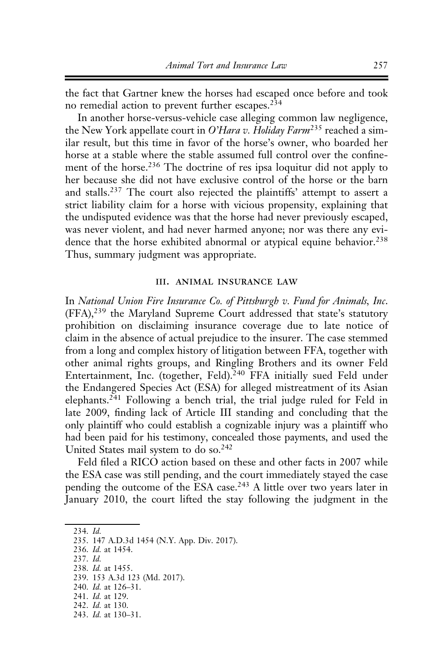the fact that Gartner knew the horses had escaped once before and took no remedial action to prevent further escapes.<sup>234</sup>

In another horse-versus-vehicle case alleging common law negligence, the New York appellate court in O'Hara v. Holiday Farm<sup>235</sup> reached a similar result, but this time in favor of the horse's owner, who boarded her horse at a stable where the stable assumed full control over the confinement of the horse.<sup>236</sup> The doctrine of res ipsa loquitur did not apply to her because she did not have exclusive control of the horse or the barn and stalls.<sup>237</sup> The court also rejected the plaintiffs' attempt to assert a strict liability claim for a horse with vicious propensity, explaining that the undisputed evidence was that the horse had never previously escaped, was never violent, and had never harmed anyone; nor was there any evidence that the horse exhibited abnormal or atypical equine behavior.<sup>238</sup> Thus, summary judgment was appropriate.

#### iii. animal insurance law

In National Union Fire Insurance Co. of Pittsburgh v. Fund for Animals, Inc. (FFA),<sup>239</sup> the Maryland Supreme Court addressed that state's statutory prohibition on disclaiming insurance coverage due to late notice of claim in the absence of actual prejudice to the insurer. The case stemmed from a long and complex history of litigation between FFA, together with other animal rights groups, and Ringling Brothers and its owner Feld Entertainment, Inc. (together, Feld).<sup>240</sup> FFA initially sued Feld under the Endangered Species Act (ESA) for alleged mistreatment of its Asian elephants.<sup>241</sup> Following a bench trial, the trial judge ruled for Feld in late 2009, finding lack of Article III standing and concluding that the only plaintiff who could establish a cognizable injury was a plaintiff who had been paid for his testimony, concealed those payments, and used the United States mail system to do so.<sup>242</sup>

Feld filed a RICO action based on these and other facts in 2007 while the ESA case was still pending, and the court immediately stayed the case pending the outcome of the ESA case.<sup>243</sup> A little over two years later in January 2010, the court lifted the stay following the judgment in the

- 236. Id. at 1454.
- 237. Id.

- 240. Id. at 126–31.
- 241. Id. at 129. 242. Id. at 130.
- 243. Id. at 130–31.

<sup>234.</sup> Id.

<sup>235. 147</sup> A.D.3d 1454 (N.Y. App. Div. 2017).

<sup>238.</sup> Id. at 1455.

<sup>239. 153</sup> A.3d 123 (Md. 2017).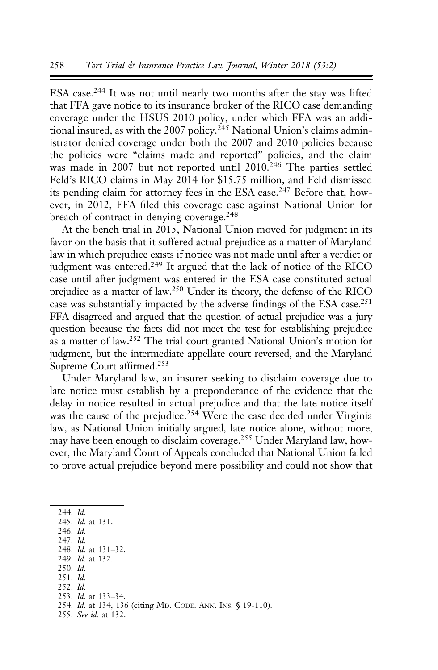ESA case.<sup>244</sup> It was not until nearly two months after the stay was lifted that FFA gave notice to its insurance broker of the RICO case demanding coverage under the HSUS 2010 policy, under which FFA was an additional insured, as with the 2007 policy.<sup>245</sup> National Union's claims administrator denied coverage under both the 2007 and 2010 policies because the policies were "claims made and reported" policies, and the claim was made in 2007 but not reported until 2010.<sup>246</sup> The parties settled Feld's RICO claims in May 2014 for \$15.75 million, and Feld dismissed its pending claim for attorney fees in the ESA case.<sup>247</sup> Before that, however, in 2012, FFA filed this coverage case against National Union for breach of contract in denying coverage.<sup>248</sup>

At the bench trial in 2015, National Union moved for judgment in its favor on the basis that it suffered actual prejudice as a matter of Maryland law in which prejudice exists if notice was not made until after a verdict or judgment was entered.<sup>249</sup> It argued that the lack of notice of the RICO case until after judgment was entered in the ESA case constituted actual prejudice as a matter of law.250 Under its theory, the defense of the RICO case was substantially impacted by the adverse findings of the ESA case.<sup>251</sup> FFA disagreed and argued that the question of actual prejudice was a jury question because the facts did not meet the test for establishing prejudice as a matter of law.252 The trial court granted National Union's motion for judgment, but the intermediate appellate court reversed, and the Maryland Supreme Court affirmed.253

Under Maryland law, an insurer seeking to disclaim coverage due to late notice must establish by a preponderance of the evidence that the delay in notice resulted in actual prejudice and that the late notice itself was the cause of the prejudice.<sup>254</sup> Were the case decided under Virginia law, as National Union initially argued, late notice alone, without more, may have been enough to disclaim coverage.255 Under Maryland law, however, the Maryland Court of Appeals concluded that National Union failed to prove actual prejudice beyond mere possibility and could not show that

244. Id.

- 247. Id. 248. Id. at 131–32.
- 249. Id. at 132.

251. Id.

253. Id. at 133–34.

<sup>245.</sup> Id. at 131.

<sup>246.</sup> Id.

<sup>250.</sup> Id.

<sup>252.</sup> Id.

<sup>254.</sup> Id. at 134, 136 (citing MD. CODE. ANN. INS. § 19-110).

<sup>255.</sup> See id. at 132.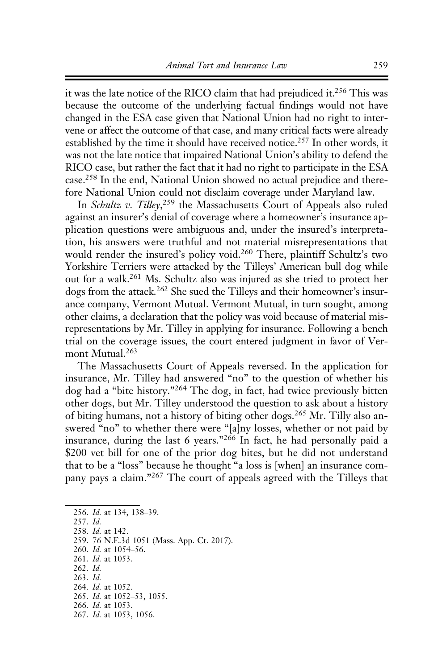it was the late notice of the RICO claim that had prejudiced it.<sup>256</sup> This was because the outcome of the underlying factual findings would not have changed in the ESA case given that National Union had no right to intervene or affect the outcome of that case, and many critical facts were already established by the time it should have received notice.<sup>257</sup> In other words, it was not the late notice that impaired National Union's ability to defend the RICO case, but rather the fact that it had no right to participate in the ESA case.258 In the end, National Union showed no actual prejudice and therefore National Union could not disclaim coverage under Maryland law.

In Schultz v. Tilley,<sup>259</sup> the Massachusetts Court of Appeals also ruled against an insurer's denial of coverage where a homeowner's insurance application questions were ambiguous and, under the insured's interpretation, his answers were truthful and not material misrepresentations that would render the insured's policy void.<sup>260</sup> There, plaintiff Schultz's two Yorkshire Terriers were attacked by the Tilleys' American bull dog while out for a walk.261 Ms. Schultz also was injured as she tried to protect her dogs from the attack.<sup>262</sup> She sued the Tilleys and their homeowner's insurance company, Vermont Mutual. Vermont Mutual, in turn sought, among other claims, a declaration that the policy was void because of material misrepresentations by Mr. Tilley in applying for insurance. Following a bench trial on the coverage issues, the court entered judgment in favor of Vermont Mutual.<sup>263</sup>

The Massachusetts Court of Appeals reversed. In the application for insurance, Mr. Tilley had answered "no" to the question of whether his dog had a "bite history."<sup>264</sup> The dog, in fact, had twice previously bitten other dogs, but Mr. Tilley understood the question to ask about a history of biting humans, not a history of biting other dogs.<sup>265</sup> Mr. Tilly also answered "no" to whether there were "[a]ny losses, whether or not paid by insurance, during the last 6 years."<sup>266</sup> In fact, he had personally paid a \$200 vet bill for one of the prior dog bites, but he did not understand that to be a "loss" because he thought "a loss is [when] an insurance company pays a claim."<sup>267</sup> The court of appeals agreed with the Tilleys that

- 258. Id. at 142.
- 259. 76 N.E.3d 1051 (Mass. App. Ct. 2017).
- 260. Id. at 1054–56.
- 261. Id. at 1053.
- 262. Id.
- 263. Id.
- 264. Id. at 1052. 265. Id. at 1052–53, 1055.
- 266. Id. at 1053.
- 267. Id. at 1053, 1056.

<sup>256.</sup> Id. at 134, 138–39.

<sup>257.</sup> Id.